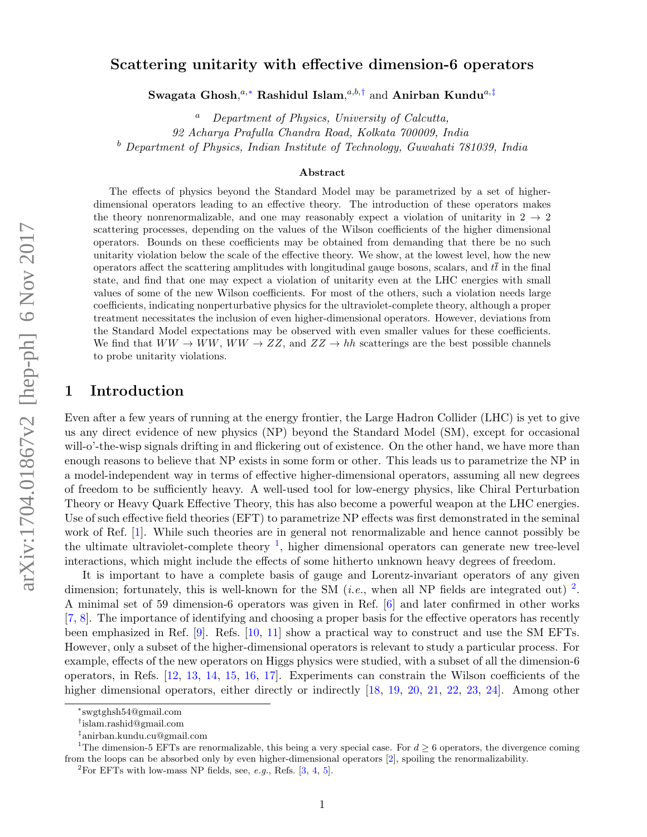## Scattering unitarity with effective dimension-6 operators

Swagata Ghosh, $^{a,*}$  Rashidul Islam, $^{a,b,\dagger}$  and Anirban Kundu $^{a,\ddagger}$ 

 $a$  Department of Physics, University of Calcutta, 92 Acharya Prafulla Chandra Road, Kolkata 700009, India  $b$  Department of Physics, Indian Institute of Technology, Guwahati 781039, India

#### Abstract

The effects of physics beyond the Standard Model may be parametrized by a set of higherdimensional operators leading to an effective theory. The introduction of these operators makes the theory nonrenormalizable, and one may reasonably expect a violation of unitarity in  $2 \rightarrow 2$ scattering processes, depending on the values of the Wilson coefficients of the higher dimensional operators. Bounds on these coefficients may be obtained from demanding that there be no such unitarity violation below the scale of the effective theory. We show, at the lowest level, how the new operators affect the scattering amplitudes with longitudinal gauge bosons, scalars, and  $t\bar{t}$  in the final state, and find that one may expect a violation of unitarity even at the LHC energies with small values of some of the new Wilson coefficients. For most of the others, such a violation needs large coefficients, indicating nonperturbative physics for the ultraviolet-complete theory, although a proper treatment necessitates the inclusion of even higher-dimensional operators. However, deviations from the Standard Model expectations may be observed with even smaller values for these coefficients. We find that  $WW \to WW$ ,  $WW \to ZZ$ , and  $ZZ \to hh$  scatterings are the best possible channels to probe unitarity violations.

### 1 Introduction

Even after a few years of running at the energy frontier, the Large Hadron Collider (LHC) is yet to give us any direct evidence of new physics (NP) beyond the Standard Model (SM), except for occasional will-o'-the-wisp signals drifting in and flickering out of existence. On the other hand, we have more than enough reasons to believe that NP exists in some form or other. This leads us to parametrize the NP in a model-independent way in terms of effective higher-dimensional operators, assuming all new degrees of freedom to be sufficiently heavy. A well-used tool for low-energy physics, like Chiral Perturbation Theory or Heavy Quark Effective Theory, this has also become a powerful weapon at the LHC energies. Use of such effective field theories (EFT) to parametrize NP effects was first demonstrated in the seminal work of Ref. [\[1\]](#page-15-0). While such theories are in general not renormalizable and hence cannot possibly be the ultimate ultraviolet-complete theory  $\frac{1}{1}$  $\frac{1}{1}$  $\frac{1}{1}$ , higher dimensional operators can generate new tree-level interactions, which might include the effects of some hitherto unknown heavy degrees of freedom.

It is important to have a complete basis of gauge and Lorentz-invariant operators of any given dimension; fortunately, this is well-known for the SM (*i.e.*, when all NP fields are integrated out)  $^2$  $^2$ . A minimal set of 59 dimension-6 operators was given in Ref. [\[6\]](#page-16-0) and later confirmed in other works [\[7,](#page-16-1) [8\]](#page-16-2). The importance of identifying and choosing a proper basis for the effective operators has recently been emphasized in Ref. [\[9\]](#page-16-3). Refs. [\[10,](#page-16-4) [11\]](#page-16-5) show a practical way to construct and use the SM EFTs. However, only a subset of the higher-dimensional operators is relevant to study a particular process. For example, effects of the new operators on Higgs physics were studied, with a subset of all the dimension-6 operators, in Refs. [\[12,](#page-16-6) [13,](#page-16-7) [14,](#page-16-8) [15,](#page-16-9) [16,](#page-16-10) [17\]](#page-16-11). Experiments can constrain the Wilson coefficients of the higher dimensional operators, either directly or indirectly [\[18,](#page-16-12) [19,](#page-16-13) [20,](#page-16-14) [21,](#page-16-15) [22,](#page-16-16) [23,](#page-16-17) [24\]](#page-17-0). Among other

<span id="page-0-0"></span><sup>∗</sup> swgtghsh54@gmail.com

<span id="page-0-1"></span><sup>†</sup> islam.rashid@gmail.com

<span id="page-0-3"></span><span id="page-0-2"></span><sup>‡</sup> anirban.kundu.cu@gmail.com

<sup>&</sup>lt;sup>1</sup>The dimension-5 EFTs are renormalizable, this being a very special case. For  $d \geq 6$  operators, the divergence coming from the loops can be absorbed only by even higher-dimensional operators [\[2\]](#page-15-1), spoiling the renormalizability.

<span id="page-0-4"></span><sup>&</sup>lt;sup>2</sup>For EFTs with low-mass NP fields, see, *e.g.*, Refs.  $[3, 4, 5]$  $[3, 4, 5]$  $[3, 4, 5]$  $[3, 4, 5]$  $[3, 4, 5]$ .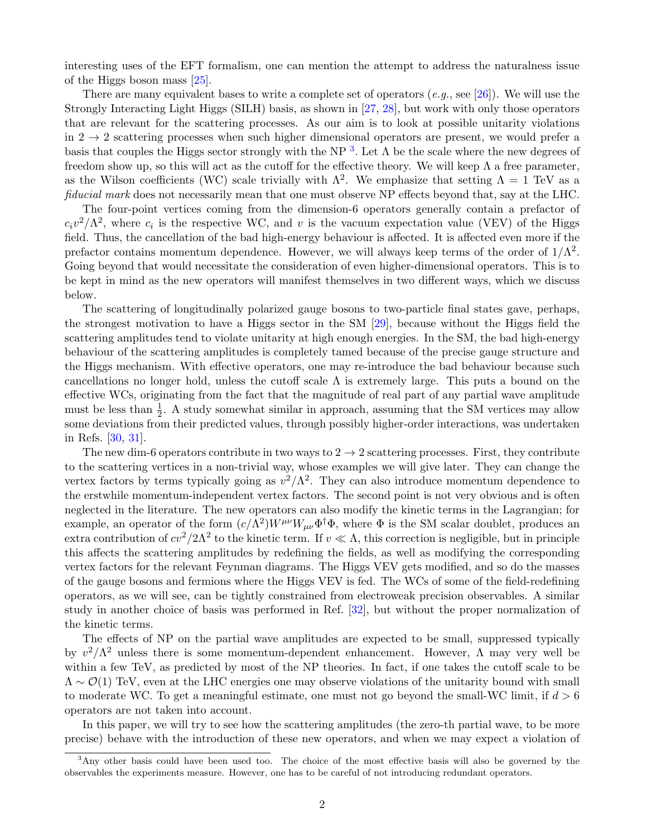interesting uses of the EFT formalism, one can mention the attempt to address the naturalness issue of the Higgs boson mass [\[25\]](#page-17-1).

There are many equivalent bases to write a complete set of operators  $(e,q, \text{ see } [26])$  $(e,q, \text{ see } [26])$  $(e,q, \text{ see } [26])$ . We will use the Strongly Interacting Light Higgs (SILH) basis, as shown in [\[27,](#page-17-3) [28\]](#page-17-4), but work with only those operators that are relevant for the scattering processes. As our aim is to look at possible unitarity violations in  $2 \rightarrow 2$  scattering processes when such higher dimensional operators are present, we would prefer a basis that couples the Higgs sector strongly with the NP<sup>[3](#page-1-0)</sup>. Let  $\Lambda$  be the scale where the new degrees of freedom show up, so this will act as the cutoff for the effective theory. We will keep  $\Lambda$  a free parameter, as the Wilson coefficients (WC) scale trivially with  $\Lambda^2$ . We emphasize that setting  $\Lambda = 1$  TeV as a fiducial mark does not necessarily mean that one must observe NP effects beyond that, say at the LHC.

The four-point vertices coming from the dimension-6 operators generally contain a prefactor of  $c_i v^2 / \Lambda^2$ , where  $c_i$  is the respective WC, and v is the vacuum expectation value (VEV) of the Higgs field. Thus, the cancellation of the bad high-energy behaviour is affected. It is affected even more if the prefactor contains momentum dependence. However, we will always keep terms of the order of  $1/\Lambda^2$ . Going beyond that would necessitate the consideration of even higher-dimensional operators. This is to be kept in mind as the new operators will manifest themselves in two different ways, which we discuss below.

The scattering of longitudinally polarized gauge bosons to two-particle final states gave, perhaps, the strongest motivation to have a Higgs sector in the SM [\[29\]](#page-17-5), because without the Higgs field the scattering amplitudes tend to violate unitarity at high enough energies. In the SM, the bad high-energy behaviour of the scattering amplitudes is completely tamed because of the precise gauge structure and the Higgs mechanism. With effective operators, one may re-introduce the bad behaviour because such cancellations no longer hold, unless the cutoff scale  $\Lambda$  is extremely large. This puts a bound on the effective WCs, originating from the fact that the magnitude of real part of any partial wave amplitude must be less than  $\frac{1}{2}$ . A study somewhat similar in approach, assuming that the SM vertices may allow some deviations from their predicted values, through possibly higher-order interactions, was undertaken in Refs. [\[30,](#page-17-6) [31\]](#page-17-7).

The new dim-6 operators contribute in two ways to  $2 \rightarrow 2$  scattering processes. First, they contribute to the scattering vertices in a non-trivial way, whose examples we will give later. They can change the vertex factors by terms typically going as  $v^2/\Lambda^2$ . They can also introduce momentum dependence to the erstwhile momentum-independent vertex factors. The second point is not very obvious and is often neglected in the literature. The new operators can also modify the kinetic terms in the Lagrangian; for example, an operator of the form  $(c/\Lambda^2)W^{\mu\nu}W_{\mu\nu}\Phi^{\dagger}\Phi$ , where  $\Phi$  is the SM scalar doublet, produces an extra contribution of  $cv^2/2\Lambda^2$  to the kinetic term. If  $v \ll \Lambda$ , this correction is negligible, but in principle this affects the scattering amplitudes by redefining the fields, as well as modifying the corresponding vertex factors for the relevant Feynman diagrams. The Higgs VEV gets modified, and so do the masses of the gauge bosons and fermions where the Higgs VEV is fed. The WCs of some of the field-redefining operators, as we will see, can be tightly constrained from electroweak precision observables. A similar study in another choice of basis was performed in Ref. [\[32\]](#page-17-8), but without the proper normalization of the kinetic terms.

The effects of NP on the partial wave amplitudes are expected to be small, suppressed typically by  $v^2/\Lambda^2$  unless there is some momentum-dependent enhancement. However,  $\Lambda$  may very well be within a few TeV, as predicted by most of the NP theories. In fact, if one takes the cutoff scale to be  $\Lambda \sim \mathcal{O}(1)$  TeV, even at the LHC energies one may observe violations of the unitarity bound with small to moderate WC. To get a meaningful estimate, one must not go beyond the small-WC limit, if  $d > 6$ operators are not taken into account.

In this paper, we will try to see how the scattering amplitudes (the zero-th partial wave, to be more precise) behave with the introduction of these new operators, and when we may expect a violation of

<span id="page-1-0"></span><sup>3</sup>Any other basis could have been used too. The choice of the most effective basis will also be governed by the observables the experiments measure. However, one has to be careful of not introducing redundant operators.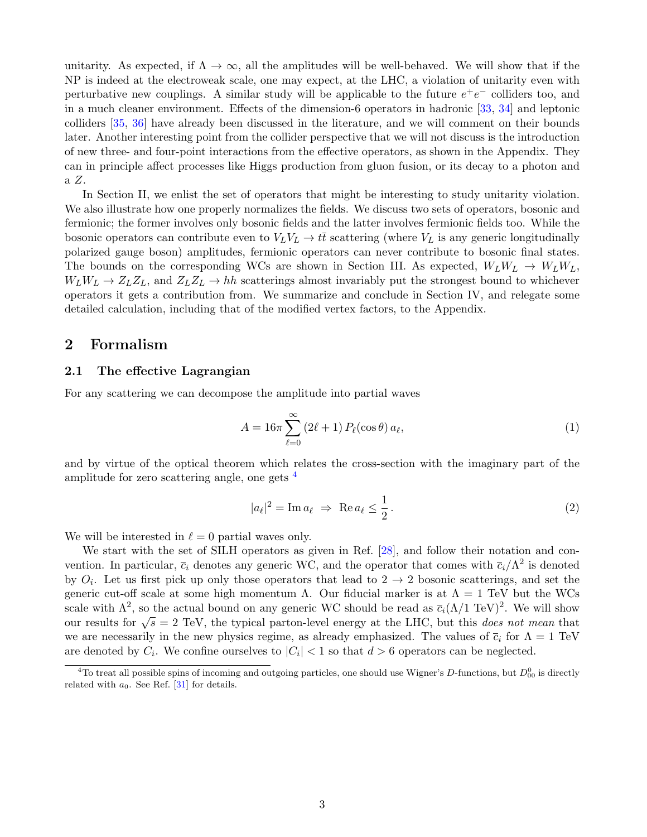unitarity. As expected, if  $\Lambda \to \infty$ , all the amplitudes will be well-behaved. We will show that if the NP is indeed at the electroweak scale, one may expect, at the LHC, a violation of unitarity even with perturbative new couplings. A similar study will be applicable to the future  $e^+e^-$  colliders too, and in a much cleaner environment. Effects of the dimension-6 operators in hadronic [\[33,](#page-17-9) [34\]](#page-17-10) and leptonic colliders [\[35,](#page-17-11) [36\]](#page-17-12) have already been discussed in the literature, and we will comment on their bounds later. Another interesting point from the collider perspective that we will not discuss is the introduction of new three- and four-point interactions from the effective operators, as shown in the Appendix. They can in principle affect processes like Higgs production from gluon fusion, or its decay to a photon and a Z.

In Section II, we enlist the set of operators that might be interesting to study unitarity violation. We also illustrate how one properly normalizes the fields. We discuss two sets of operators, bosonic and fermionic; the former involves only bosonic fields and the latter involves fermionic fields too. While the bosonic operators can contribute even to  $V_L V_L \rightarrow t\bar{t}$  scattering (where  $V_L$  is any generic longitudinally polarized gauge boson) amplitudes, fermionic operators can never contribute to bosonic final states. The bounds on the corresponding WCs are shown in Section III. As expected,  $W_L W_L \rightarrow W_L W_L$ ,  $W_L W_L \to Z_L Z_L$ , and  $Z_L Z_L \to hh$  scatterings almost invariably put the strongest bound to whichever operators it gets a contribution from. We summarize and conclude in Section IV, and relegate some detailed calculation, including that of the modified vertex factors, to the Appendix.

### 2 Formalism

### 2.1 The effective Lagrangian

For any scattering we can decompose the amplitude into partial waves

$$
A = 16\pi \sum_{\ell=0}^{\infty} (2\ell+1) P_{\ell}(\cos\theta) a_{\ell}, \qquad (1)
$$

and by virtue of the optical theorem which relates the cross-section with the imaginary part of the amplitude for zero scattering angle, one gets [4](#page-2-0)

$$
|a_{\ell}|^2 = \operatorname{Im} a_{\ell} \Rightarrow \operatorname{Re} a_{\ell} \le \frac{1}{2}.
$$
 (2)

We will be interested in  $\ell = 0$  partial waves only.

We start with the set of SILH operators as given in Ref. [\[28\]](#page-17-4), and follow their notation and convention. In particular,  $\bar{c}_i$  denotes any generic WC, and the operator that comes with  $\bar{c}_i/\Lambda^2$  is denoted by  $O_i$ . Let us first pick up only those operators that lead to  $2 \rightarrow 2$  bosonic scatterings, and set the generic cut-off scale at some high momentum  $\Lambda$ . Our fiducial marker is at  $\Lambda = 1$  TeV but the WCs scale with  $\Lambda^2$ , so the actual bound on any generic WC should be read as  $\bar{c}_i(\Lambda/1 \text{ TeV})^2$ . We will show our results for  $\sqrt{s} = 2$  TeV, the typical parton-level energy at the LHC, but this *does not mean* that we are necessarily in the new physics regime, as already emphasized. The values of  $\bar{c}_i$  for  $\Lambda = 1$  TeV are denoted by  $C_i$ . We confine ourselves to  $|C_i|$  < 1 so that  $d > 6$  operators can be neglected.

<span id="page-2-0"></span><sup>&</sup>lt;sup>4</sup>To treat all possible spins of incoming and outgoing particles, one should use Wigner's D-functions, but  $D_{00}^0$  is directly related with  $a_0$ . See Ref. [\[31\]](#page-17-7) for details.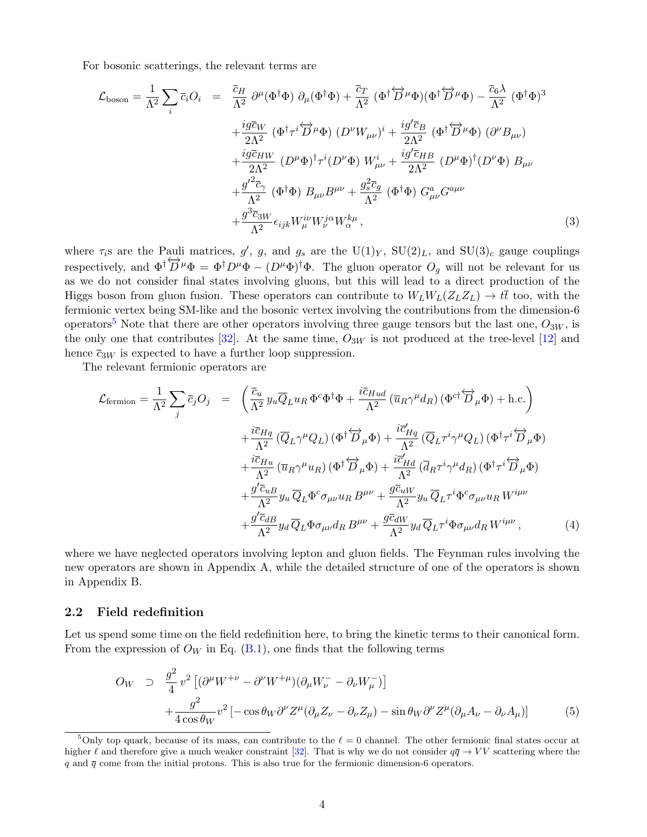For bosonic scatterings, the relevant terms are

<span id="page-3-1"></span>
$$
\mathcal{L}_{\text{boson}} = \frac{1}{\Lambda^2} \sum_{i} \bar{c}_{i} O_{i} = \frac{\bar{c}_{H}}{\Lambda^2} \partial^{\mu} (\Phi^{\dagger} \Phi) \partial_{\mu} (\Phi^{\dagger} \Phi) + \frac{\bar{c}_{T}}{\Lambda^2} (\Phi^{\dagger} \overleftrightarrow{D}^{\mu} \Phi) (\Phi^{\dagger} \overleftrightarrow{D}^{\mu} \Phi) - \frac{\bar{c}_{6} \lambda}{\Lambda^2} (\Phi^{\dagger} \Phi)^3 \n+ \frac{i g \bar{c}_{W}}{2 \Lambda^2} (\Phi^{\dagger} \tau^{i} \overleftrightarrow{D}^{\mu} \Phi) (D^{\nu} W_{\mu\nu})^{i} + \frac{i g' \bar{c}_{B}}{2 \Lambda^2} (\Phi^{\dagger} \overleftrightarrow{D}^{\mu} \Phi) (\partial^{\nu} B_{\mu\nu}) \n+ \frac{i g \bar{c}_{HW}}{2 \Lambda^2} (D^{\mu} \Phi)^{\dagger} \tau^{i} (D^{\nu} \Phi) W_{\mu\nu}^{i} + \frac{i g' \bar{c}_{HB}}{2 \Lambda^2} (D^{\mu} \Phi)^{\dagger} (D^{\nu} \Phi) B_{\mu\nu} \n+ \frac{g'^2 \bar{c}_{\gamma}}{\Lambda^2} (\Phi^{\dagger} \Phi) B_{\mu\nu} B^{\mu\nu} + \frac{g_s^2 \bar{c}_{g}}{\Lambda^2} (\Phi^{\dagger} \Phi) G^a_{\mu\nu} G^{a\mu\nu} \n+ \frac{g^3 \bar{c}_{3W}}{\Lambda^2} \epsilon_{ijk} W_{\mu}^{i\nu} W_{\nu}^{j\alpha} W_{\alpha}^{k\mu} ,
$$
\n(3)

where  $\tau_i$ s are the Pauli matrices, g', g, and g<sub>s</sub> are the U(1)<sub>Y</sub>, SU(2)<sub>L</sub>, and SU(3)<sub>c</sub> gauge couplings respectively, and  $\Phi^{\dagger} \overleftrightarrow{D}^{\mu} \Phi = \Phi^{\dagger} D^{\mu} \Phi - (D^{\mu} \Phi)^{\dagger} \Phi$ . The gluon operator  $O_g$  will not be relevant for us as we do not consider final states involving gluons, but this will lead to a direct production of the Higgs boson from gluon fusion. These operators can contribute to  $W_L W_L(Z_L Z_L) \rightarrow t\bar{t}$  too, with the fermionic vertex being SM-like and the bosonic vertex involving the contributions from the dimension-6 operators<sup>[5](#page-3-0)</sup> Note that there are other operators involving three gauge tensors but the last one,  $O_{3W}$ , is the only one that contributes [\[32\]](#page-17-8). At the same time,  $O_{3W}$  is not produced at the tree-level [\[12\]](#page-16-6) and hence  $\bar{c}_{3W}$  is expected to have a further loop suppression.

The relevant fermionic operators are

<span id="page-3-2"></span>
$$
\mathcal{L}_{\text{fermion}} = \frac{1}{\Lambda^2} \sum_{j} \overline{c}_{j} O_{j} = \left( \frac{\overline{c}_{u}}{\Lambda^2} y_{u} \overline{Q}_{L} u_{R} \Phi^{c} \Phi^{\dagger} \Phi + \frac{i \overline{c}_{Hud}}{\Lambda^2} (\overline{u}_{R} \gamma^{\mu} d_{R}) (\Phi^{c\dagger} \overleftrightarrow{D}_{\mu} \Phi) + \text{h.c.} \right) \n+ \frac{i \overline{c}_{Hq}}{\Lambda^2} (\overline{Q}_{L} \gamma^{\mu} Q_{L}) (\Phi^{\dagger} \overleftrightarrow{D}_{\mu} \Phi) + \frac{i \overline{c}'_{Hq}}{\Lambda^2} (\overline{Q}_{L} \tau^{i} \gamma^{\mu} Q_{L}) (\Phi^{\dagger} \tau^{i} \overleftrightarrow{D}_{\mu} \Phi) \n+ \frac{i \overline{c}_{Hu}}{\Lambda^2} (\overline{u}_{R} \gamma^{\mu} u_{R}) (\Phi^{\dagger} \overleftrightarrow{D}_{\mu} \Phi) + \frac{i \overline{c}'_{Hd}}{\Lambda^2} (\overline{d}_{R} \tau^{i} \gamma^{\mu} d_{R}) (\Phi^{\dagger} \tau^{i} \overleftrightarrow{D}_{\mu} \Phi) \n+ \frac{g' \overline{c}_{uB}}{\Lambda^2} y_{u} \overline{Q}_{L} \Phi^{c} \sigma_{\mu\nu} u_{R} B^{\mu\nu} + \frac{g \overline{c}_{uW}}{\Lambda^2} y_{u} \overline{Q}_{L} \tau^{i} \Phi^{c} \sigma_{\mu\nu} u_{R} W^{i\mu\nu} \n+ \frac{g' \overline{c}_{dB}}{\Lambda^2} y_{d} \overline{Q}_{L} \Phi \sigma_{\mu\nu} d_{R} B^{\mu\nu} + \frac{g \overline{c}_{dW}}{\Lambda^2} y_{d} \overline{Q}_{L} \tau^{i} \Phi \sigma_{\mu\nu} d_{R} W^{i\mu\nu}, \tag{4}
$$

where we have neglected operators involving lepton and gluon fields. The Feynman rules involving the new operators are shown in Appendix A, while the detailed structure of one of the operators is shown in Appendix B.

#### 2.2 Field redefinition

Let us spend some time on the field redefinition here, to bring the kinetic terms to their canonical form. From the expression of  $O_W$  in Eq. [\(B.1\)](#page-15-5), one finds that the following terms

$$
O_W \supset \frac{g^2}{4} v^2 \left[ (\partial^\mu W^{+\nu} - \partial^\nu W^{+\mu}) (\partial_\mu W^-_\nu - \partial_\nu W^-_\mu) \right] + \frac{g^2}{4 \cos \theta_W} v^2 \left[ -\cos \theta_W \partial^\nu Z^\mu (\partial_\mu Z_\nu - \partial_\nu Z_\mu) - \sin \theta_W \partial^\nu Z^\mu (\partial_\mu A_\nu - \partial_\nu A_\mu) \right]
$$
(5)

<span id="page-3-0"></span><sup>&</sup>lt;sup>5</sup>Only top quark, because of its mass, can contribute to the  $\ell = 0$  channel. The other fermionic final states occur at higher  $\ell$  and therefore give a much weaker constraint [\[32\]](#page-17-8). That is why we do not consider  $q\bar{q} \to VV$  scattering where the  $q$  and  $\bar{q}$  come from the initial protons. This is also true for the fermionic dimension-6 operators.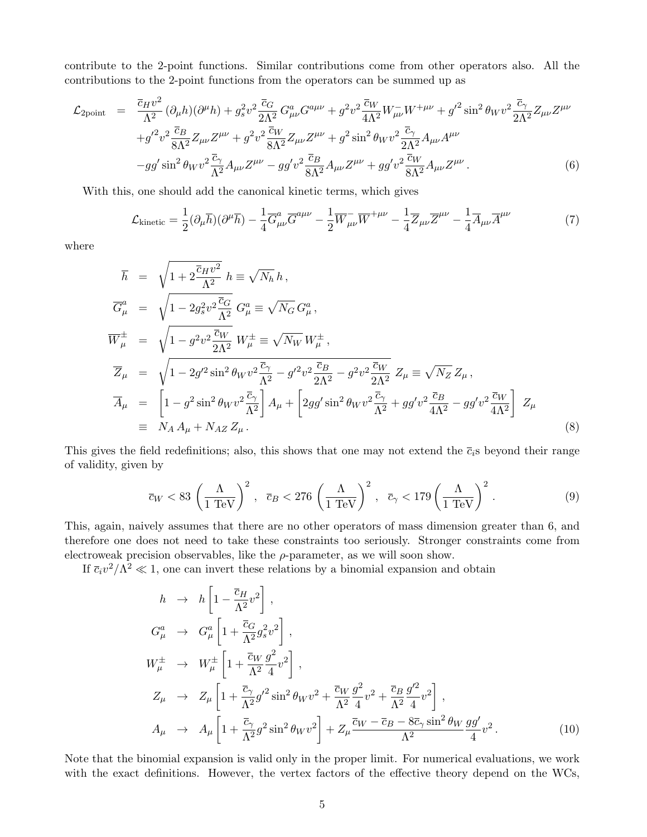contribute to the 2-point functions. Similar contributions come from other operators also. All the contributions to the 2-point functions from the operators can be summed up as

$$
\mathcal{L}_{2\text{point}} = \frac{\overline{c}_{H}v^{2}}{\Lambda^{2}} (\partial_{\mu}h)(\partial^{\mu}h) + g_{s}^{2}v^{2} \frac{\overline{c}_{G}}{\Lambda^{2}} G_{\mu\nu}^{a} G^{a\mu\nu} + g^{2}v^{2} \frac{\overline{c}_{W}}{4\Lambda^{2}} W_{\mu\nu}^{-} W^{+\mu\nu} + g^{\prime 2} \sin^{2} \theta_{W} v^{2} \frac{\overline{c}_{\gamma}}{2\Lambda^{2}} Z_{\mu\nu} Z^{\mu\nu} \n+ g^{\prime 2}v^{2} \frac{\overline{c}_{B}}{8\Lambda^{2}} Z_{\mu\nu} Z^{\mu\nu} + g^{2}v^{2} \frac{\overline{c}_{W}}{8\Lambda^{2}} Z_{\mu\nu} Z^{\mu\nu} + g^{2} \sin^{2} \theta_{W} v^{2} \frac{\overline{c}_{\gamma}}{2\Lambda^{2}} A_{\mu\nu} A^{\mu\nu} \n-gg^{\prime} \sin^{2} \theta_{W} v^{2} \frac{\overline{c}_{\gamma}}{\Lambda^{2}} A_{\mu\nu} Z^{\mu\nu} - g g^{\prime} v^{2} \frac{\overline{c}_{B}}{8\Lambda^{2}} A_{\mu\nu} Z^{\mu\nu} + g g^{\prime} v^{2} \frac{\overline{c}_{W}}{8\Lambda^{2}} A_{\mu\nu} Z^{\mu\nu}.
$$
\n(6)

With this, one should add the canonical kinetic terms, which gives

$$
\mathcal{L}_{\text{kinetic}} = \frac{1}{2} (\partial_{\mu} \overline{h}) (\partial^{\mu} \overline{h}) - \frac{1}{4} \overline{G}^a_{\mu\nu} \overline{G}^{a\mu\nu} - \frac{1}{2} \overline{W}_{\mu\nu} \overline{W}^{+\mu\nu} - \frac{1}{4} \overline{Z}_{\mu\nu} \overline{Z}^{\mu\nu} - \frac{1}{4} \overline{A}_{\mu\nu} \overline{A}^{\mu\nu} \tag{7}
$$

where

<span id="page-4-0"></span>
$$
\overline{h} = \sqrt{1 + 2 \frac{\overline{c}_H v^2}{\Lambda^2}} \, h \equiv \sqrt{N_h} \, h ,
$$
\n
$$
\overline{G}_{\mu}^a = \sqrt{1 - 2g_s^2 v^2 \frac{\overline{c}_G}{\Lambda^2}} \, G_{\mu}^a \equiv \sqrt{N_G} \, G_{\mu}^a ,
$$
\n
$$
\overline{W}_{\mu}^{\pm} = \sqrt{1 - g^2 v^2 \frac{\overline{c}_W}{2\Lambda^2}} \, W_{\mu}^{\pm} \equiv \sqrt{N_W} \, W_{\mu}^{\pm} ,
$$
\n
$$
\overline{Z}_{\mu} = \sqrt{1 - 2g'^2 \sin^2 \theta_W v^2 \frac{\overline{c}_\gamma}{\Lambda^2} - g'^2 v^2 \frac{\overline{c}_B}{2\Lambda^2} - g^2 v^2 \frac{\overline{c}_W}{2\Lambda^2}} \, Z_{\mu} \equiv \sqrt{N_Z} \, Z_{\mu} ,
$$
\n
$$
\overline{A}_{\mu} = \left[ 1 - g^2 \sin^2 \theta_W v^2 \frac{\overline{c}_\gamma}{\Lambda^2} \right] A_{\mu} + \left[ 2gg' \sin^2 \theta_W v^2 \frac{\overline{c}_\gamma}{\Lambda^2} + gg' v^2 \frac{\overline{c}_B}{4\Lambda^2} - gg' v^2 \frac{\overline{c}_W}{4\Lambda^2} \right] \, Z_{\mu}
$$
\n
$$
\equiv N_A \, A_{\mu} + N_{AZ} \, Z_{\mu} . \tag{8}
$$

This gives the field redefinitions; also, this shows that one may not extend the  $\bar{c}_i$ s beyond their range of validity, given by

$$
\overline{c}_W < 83 \left(\frac{\Lambda}{1 \text{ TeV}}\right)^2, \quad \overline{c}_B < 276 \left(\frac{\Lambda}{1 \text{ TeV}}\right)^2, \quad \overline{c}_\gamma < 179 \left(\frac{\Lambda}{1 \text{ TeV}}\right)^2. \tag{9}
$$

This, again, naively assumes that there are no other operators of mass dimension greater than 6, and therefore one does not need to take these constraints too seriously. Stronger constraints come from electroweak precision observables, like the  $\rho$ -parameter, as we will soon show.

If  $\bar{c}_i v^2 / \Lambda^2 \ll 1$ , one can invert these relations by a binomial expansion and obtain

$$
h \rightarrow h \left[ 1 - \frac{\overline{c}_H}{\Lambda^2} v^2 \right],
$$
  
\n
$$
G^a_\mu \rightarrow G^a_\mu \left[ 1 + \frac{\overline{c}_G}{\Lambda^2} g_s^2 v^2 \right],
$$
  
\n
$$
W_\mu^{\pm} \rightarrow W_\mu^{\pm} \left[ 1 + \frac{\overline{c}_W}{\Lambda^2} \frac{g^2}{4} v^2 \right],
$$
  
\n
$$
Z_\mu \rightarrow Z_\mu \left[ 1 + \frac{\overline{c}_\gamma}{\Lambda^2} g'^2 \sin^2 \theta_W v^2 + \frac{\overline{c}_W}{\Lambda^2} \frac{g^2}{4} v^2 + \frac{\overline{c}_B}{\Lambda^2} \frac{g'^2}{4} v^2 \right],
$$
  
\n
$$
A_\mu \rightarrow A_\mu \left[ 1 + \frac{\overline{c}_\gamma}{\Lambda^2} g^2 \sin^2 \theta_W v^2 \right] + Z_\mu \frac{\overline{c}_W - \overline{c}_B - 8 \overline{c}_\gamma \sin^2 \theta_W g g'}{\Lambda^2} v^2.
$$
\n(10)

Note that the binomial expansion is valid only in the proper limit. For numerical evaluations, we work with the exact definitions. However, the vertex factors of the effective theory depend on the WCs,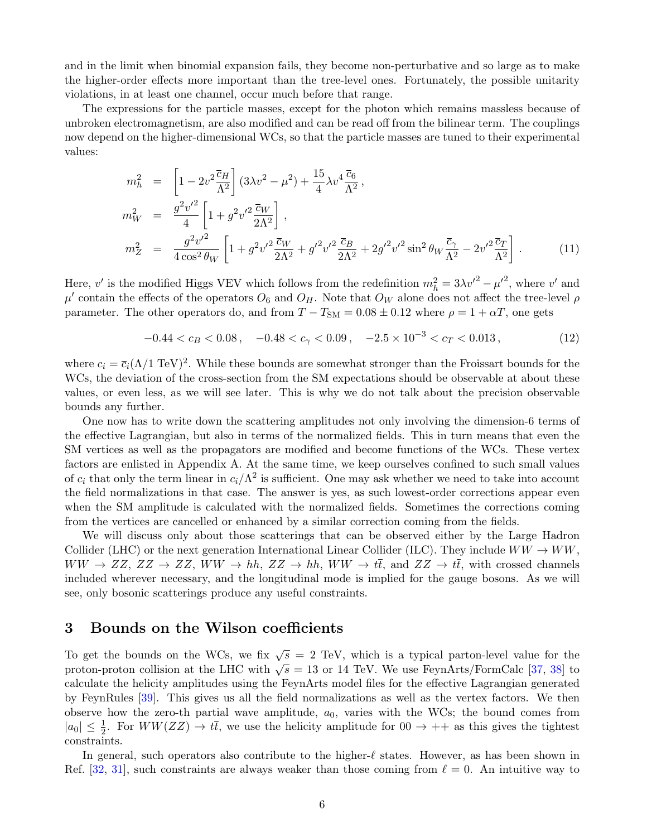and in the limit when binomial expansion fails, they become non-perturbative and so large as to make the higher-order effects more important than the tree-level ones. Fortunately, the possible unitarity violations, in at least one channel, occur much before that range.

The expressions for the particle masses, except for the photon which remains massless because of unbroken electromagnetism, are also modified and can be read off from the bilinear term. The couplings now depend on the higher-dimensional WCs, so that the particle masses are tuned to their experimental values:

$$
m_h^2 = \left[1 - 2v^2 \frac{\bar{c}_H}{\Lambda^2}\right] (3\lambda v^2 - \mu^2) + \frac{15}{4} \lambda v^4 \frac{\bar{c}_6}{\Lambda^2},
$$
  
\n
$$
m_W^2 = \frac{g^2 v'^2}{4} \left[1 + g^2 v'^2 \frac{\bar{c}_W}{2\Lambda^2}\right],
$$
  
\n
$$
m_Z^2 = \frac{g^2 v'^2}{4 \cos^2 \theta_W} \left[1 + g^2 v'^2 \frac{\bar{c}_W}{2\Lambda^2} + g'^2 v'^2 \frac{\bar{c}_B}{2\Lambda^2} + 2g'^2 v'^2 \sin^2 \theta_W \frac{\bar{c}_\gamma}{\Lambda^2} - 2v'^2 \frac{\bar{c}_T}{\Lambda^2}\right].
$$
\n(11)

Here, v' is the modified Higgs VEV which follows from the redefinition  $m_h^2 = 3\lambda v'^2 - {\mu'}^2$ , where v' and  $\mu'$  contain the effects of the operators  $O_6$  and  $O_H$ . Note that  $O_W$  alone does not affect the tree-level  $\rho$ parameter. The other operators do, and from  $T - T_{SM} = 0.08 \pm 0.12$  where  $\rho = 1 + \alpha T$ , one gets

 $-0.44 < c_B < 0.08$ ,  $-0.48 < c_\gamma < 0.09$ ,  $-2.5 \times 10^{-3} < c_T < 0.013$ , (12)

where  $c_i = \overline{c}_i (\Lambda/1 \text{ TeV})^2$ . While these bounds are somewhat stronger than the Froissart bounds for the WCs, the deviation of the cross-section from the SM expectations should be observable at about these values, or even less, as we will see later. This is why we do not talk about the precision observable bounds any further.

One now has to write down the scattering amplitudes not only involving the dimension-6 terms of the effective Lagrangian, but also in terms of the normalized fields. This in turn means that even the SM vertices as well as the propagators are modified and become functions of the WCs. These vertex factors are enlisted in Appendix A. At the same time, we keep ourselves confined to such small values of  $c_i$  that only the term linear in  $c_i/\Lambda^2$  is sufficient. One may ask whether we need to take into account the field normalizations in that case. The answer is yes, as such lowest-order corrections appear even when the SM amplitude is calculated with the normalized fields. Sometimes the corrections coming from the vertices are cancelled or enhanced by a similar correction coming from the fields.

We will discuss only about those scatterings that can be observed either by the Large Hadron Collider (LHC) or the next generation International Linear Collider (ILC). They include  $WW \to WW$ ,  $WW \to ZZ, ZZ \to ZZ, WW \to hh, ZZ \to hh, WW \to t\bar{t}, \text{and } ZZ \to t\bar{t}, \text{with crossed channels}$ included wherever necessary, and the longitudinal mode is implied for the gauge bosons. As we will see, only bosonic scatterings produce any useful constraints.

### 3 Bounds on the Wilson coefficients

To get the bounds on the WCs, we fix  $\sqrt{s} = 2$  TeV, which is a typical parton-level value for the proton-proton collision at the LHC with  $\sqrt{s} = 13$  or 14 TeV. We use FeynArts/FormCalc [\[37,](#page-17-13) [38\]](#page-17-14) to calculate the helicity amplitudes using the FeynArts model files for the effective Lagrangian generated by FeynRules [\[39\]](#page-17-15). This gives us all the field normalizations as well as the vertex factors. We then observe how the zero-th partial wave amplitude,  $a_0$ , varies with the WCs; the bound comes from  $|a_0| \leq \frac{1}{2}$ . For  $WW(ZZ) \rightarrow t\bar{t}$ , we use the helicity amplitude for  $00 \rightarrow ++$  as this gives the tightest constraints.

In general, such operators also contribute to the higher- $\ell$  states. However, as has been shown in Ref. [\[32,](#page-17-8) [31\]](#page-17-7), such constraints are always weaker than those coming from  $\ell = 0$ . An intuitive way to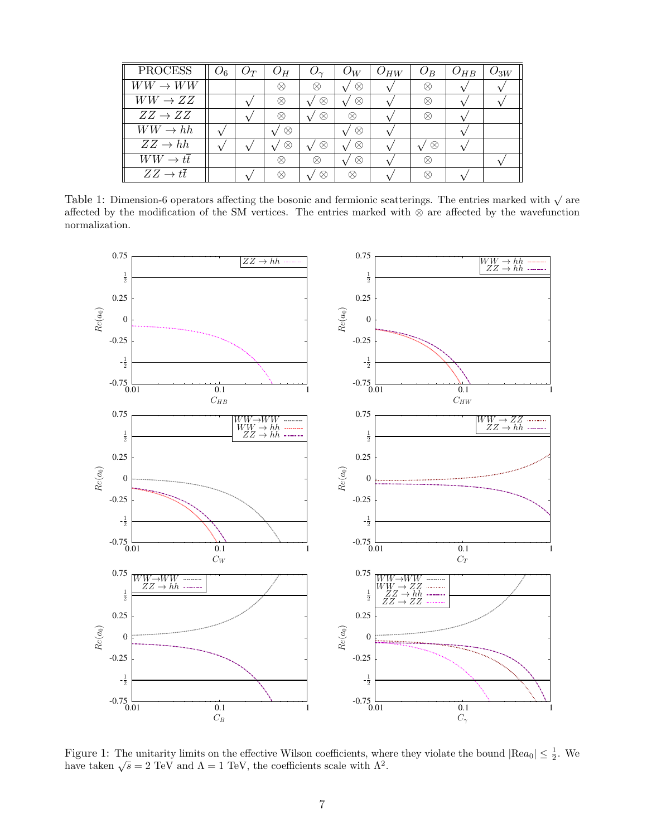<span id="page-6-0"></span>

| <b>PROCESS</b>                 | $O_6$ | $O_T$ | $O_H$ |           | $O_W$     | $O_{HW}$ | $O_B$ | $O_{HB}$ | $\omega_{3W}$ |
|--------------------------------|-------|-------|-------|-----------|-----------|----------|-------|----------|---------------|
| $WW \rightarrow WW$            |       |       | ⊗     | ⊗         | $\otimes$ |          | ⊗     |          |               |
| $WW \rightarrow ZZ$            |       |       | ⊗     | ⊗         | $\otimes$ |          | ⊗     |          |               |
| $ZZ \rightarrow ZZ$            |       |       | ⊗     | ⊗         | ⊗         |          | ⊗     |          |               |
| $WW \rightarrow hh$            |       |       | ⊗     |           | $\otimes$ |          |       |          |               |
| $ZZ \to hh$                    |       |       | ⊗     | $\otimes$ | $\otimes$ |          | ⊗     |          |               |
| $WW \rightarrow t\overline{t}$ |       |       | ∞     | $\otimes$ | $\otimes$ |          | ∞     |          |               |
| $ZZ \to t\overline{t}$         |       |       | ⊗     | $\otimes$ | ⊗         |          | ⊗     |          |               |

Table 1: Dimension-6 operators affecting the bosonic and fermionic scatterings. The entries marked with  $\sqrt{ }$  are affected by the modification of the SM vertices. The entries marked with ⊗ are affected by the wavefunction normalization.

<span id="page-6-1"></span>

Figure 1: The unitarity limits on the effective Wilson coefficients, where they violate the bound  $|\text{Re}a_0| \leq \frac{1}{2}$ . We have taken  $\sqrt{s} = 2 \text{ TeV}$  and  $\Lambda = 1 \text{ TeV}$ , the coefficients scale with  $\Lambda^2$ .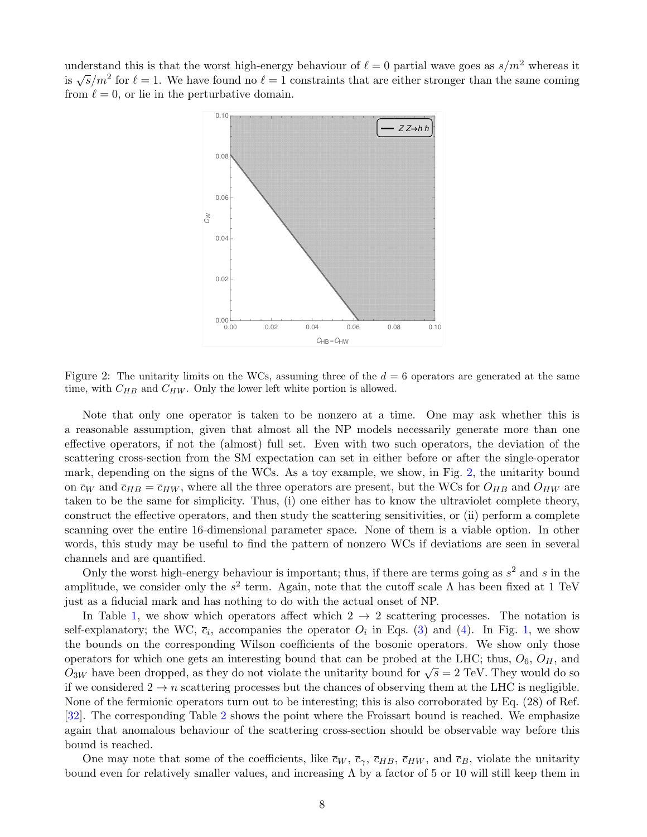<span id="page-7-0"></span>understand this is that the worst high-energy behaviour of  $\ell = 0$  partial wave goes as  $s/m^2$  whereas it is  $\sqrt{s/m^2}$  for  $\ell = 1$ . We have found no  $\ell = 1$  constraints that are either stronger than the same coming from  $\ell = 0$ , or lie in the perturbative domain.



Figure 2: The unitarity limits on the WCs, assuming three of the  $d = 6$  operators are generated at the same time, with  $C_{HB}$  and  $C_{HW}$ . Only the lower left white portion is allowed.

Note that only one operator is taken to be nonzero at a time. One may ask whether this is a reasonable assumption, given that almost all the NP models necessarily generate more than one effective operators, if not the (almost) full set. Even with two such operators, the deviation of the scattering cross-section from the SM expectation can set in either before or after the single-operator mark, depending on the signs of the WCs. As a toy example, we show, in Fig. [2,](#page-7-0) the unitarity bound on  $\bar{c}_W$  and  $\bar{c}_{HB} = \bar{c}_{HW}$ , where all the three operators are present, but the WCs for  $O_{HB}$  and  $O_{HW}$  are taken to be the same for simplicity. Thus, (i) one either has to know the ultraviolet complete theory, construct the effective operators, and then study the scattering sensitivities, or (ii) perform a complete scanning over the entire 16-dimensional parameter space. None of them is a viable option. In other words, this study may be useful to find the pattern of nonzero WCs if deviations are seen in several channels and are quantified.

Only the worst high-energy behaviour is important; thus, if there are terms going as  $s^2$  and s in the amplitude, we consider only the  $s^2$  term. Again, note that the cutoff scale  $\Lambda$  has been fixed at 1 TeV just as a fiducial mark and has nothing to do with the actual onset of NP.

In Table [1,](#page-6-0) we show which operators affect which  $2 \rightarrow 2$  scattering processes. The notation is self-explanatory; the WC,  $\bar{c}_i$ , accompanies the operator  $O_i$  in Eqs. [\(3\)](#page-3-1) and [\(4\)](#page-3-2). In Fig. [1,](#page-6-1) we show the bounds on the corresponding Wilson coefficients of the bosonic operators. We show only those operators for which one gets an interesting bound that can be probed at the LHC; thus,  $O_6$ ,  $O_H$ , and  $\overrightarrow{O}_{3W}$  have been dropped, as they do not violate the unitarity bound for  $\sqrt{s} = 2 \text{ TeV}$ . They would do so if we considered  $2 \to n$  scattering processes but the chances of observing them at the LHC is negligible. None of the fermionic operators turn out to be interesting; this is also corroborated by Eq. (28) of Ref. [\[32\]](#page-17-8). The corresponding Table [2](#page-8-0) shows the point where the Froissart bound is reached. We emphasize again that anomalous behaviour of the scattering cross-section should be observable way before this bound is reached.

One may note that some of the coefficients, like  $\bar{c}_W$ ,  $\bar{c}_\gamma$ ,  $\bar{c}_{HB}$ ,  $\bar{c}_{HW}$ , and  $\bar{c}_B$ , violate the unitarity bound even for relatively smaller values, and increasing  $\Lambda$  by a factor of 5 or 10 will still keep them in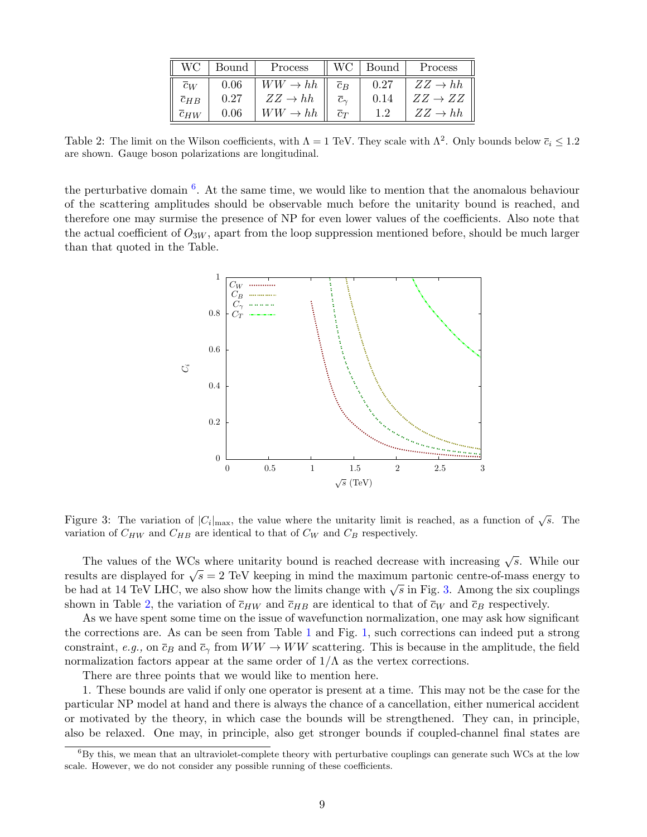| WС                  | Bound | Process             |                      | WC   Bound | Process             |
|---------------------|-------|---------------------|----------------------|------------|---------------------|
| $\overline{c}_W$    | 0.06  | $WW \rightarrow hh$ | $\overline{c}_B$     | 0.27       | $ZZ \to hh$         |
| $\overline{c}_{HB}$ | 0.27  | $ZZ \to hh$         | $\tilde{c}_{\gamma}$ | 0.14       | $ZZ \rightarrow ZZ$ |
| $\overline{c}$ HW   | 0.06  | $WW \rightarrow hh$ | $\overline{c}_T$     | 1.2        | $ZZ \to hh$         |

<span id="page-8-0"></span>Table 2: The limit on the Wilson coefficients, with  $\Lambda = 1$  TeV. They scale with  $\Lambda^2$ . Only bounds below  $\bar{c}_i \leq 1.2$ are shown. Gauge boson polarizations are longitudinal.

<span id="page-8-2"></span>the perturbative domain  $<sup>6</sup>$  $<sup>6</sup>$  $<sup>6</sup>$ . At the same time, we would like to mention that the anomalous behaviour</sup> of the scattering amplitudes should be observable much before the unitarity bound is reached, and therefore one may surmise the presence of NP for even lower values of the coefficients. Also note that the actual coefficient of  $O_{3W}$ , apart from the loop suppression mentioned before, should be much larger than that quoted in the Table.



Figure 3: The variation of  $|C_i|_{\text{max}}$ , the value where the unitarity limit is reached, as a function of  $\sqrt{s}$ . The variation of  $C_{HW}$  and  $C_{HB}$  are identical to that of  $C_W$  and  $C_B$  respectively.

The values of the WCs where unitarity bound is reached decrease with increasing  $\sqrt{s}$ . While our results are displayed for  $\sqrt{s} = 2$  TeV keeping in mind the maximum partonic centre-of-mass energy to be had at 14 TeV LHC, we also show how the limits change with  $\sqrt{s}$  in Fig. [3.](#page-8-2) Among the six couplings shown in Table [2,](#page-8-0) the variation of  $\overline{c}_{HW}$  and  $\overline{c}_{HB}$  are identical to that of  $\overline{c}_W$  and  $\overline{c}_B$  respectively.

As we have spent some time on the issue of wavefunction normalization, one may ask how significant the corrections are. As can be seen from Table [1](#page-6-0) and Fig. [1,](#page-6-1) such corrections can indeed put a strong constraint, e.g., on  $\bar{c}_B$  and  $\bar{c}_\gamma$  from  $WW \to WW$  scattering. This is because in the amplitude, the field normalization factors appear at the same order of  $1/\Lambda$  as the vertex corrections.

There are three points that we would like to mention here.

1. These bounds are valid if only one operator is present at a time. This may not be the case for the particular NP model at hand and there is always the chance of a cancellation, either numerical accident or motivated by the theory, in which case the bounds will be strengthened. They can, in principle, also be relaxed. One may, in principle, also get stronger bounds if coupled-channel final states are

<span id="page-8-1"></span> ${}^{6}$ By this, we mean that an ultraviolet-complete theory with perturbative couplings can generate such WCs at the low scale. However, we do not consider any possible running of these coefficients.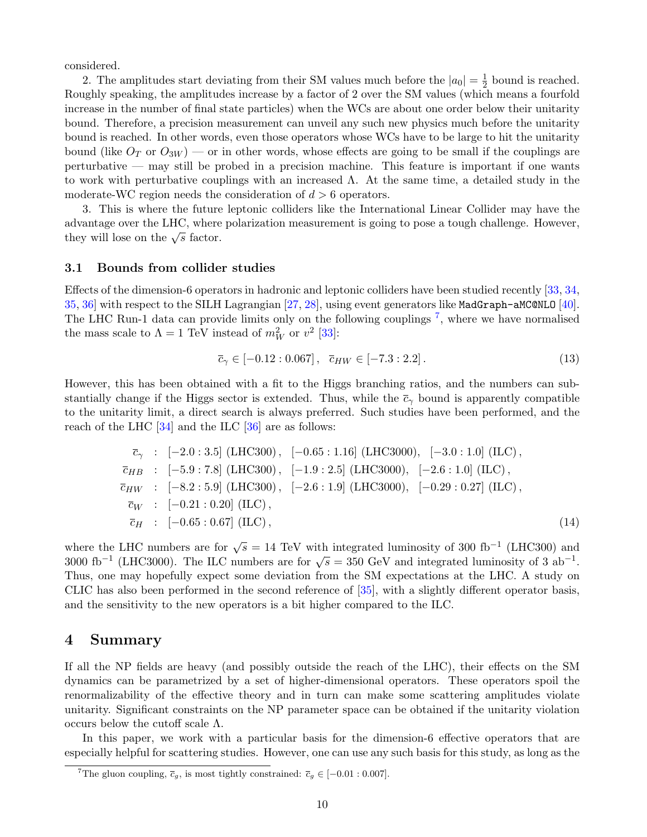considered.

2. The amplitudes start deviating from their SM values much before the  $|a_0| = \frac{1}{2}$  $\frac{1}{2}$  bound is reached. Roughly speaking, the amplitudes increase by a factor of 2 over the SM values (which means a fourfold increase in the number of final state particles) when the WCs are about one order below their unitarity bound. Therefore, a precision measurement can unveil any such new physics much before the unitarity bound is reached. In other words, even those operators whose WCs have to be large to hit the unitarity bound (like  $O_T$  or  $O_{3W}$ ) — or in other words, whose effects are going to be small if the couplings are perturbative — may still be probed in a precision machine. This feature is important if one wants to work with perturbative couplings with an increased Λ. At the same time, a detailed study in the moderate-WC region needs the consideration of  $d > 6$  operators.

3. This is where the future leptonic colliders like the International Linear Collider may have the advantage over the LHC, where polarization measurement is going to pose a tough challenge. However, they will lose on the  $\sqrt{s}$  factor.

#### 3.1 Bounds from collider studies

Effects of the dimension-6 operators in hadronic and leptonic colliders have been studied recently [\[33,](#page-17-9) [34,](#page-17-10) [35,](#page-17-11) [36\]](#page-17-12) with respect to the SILH Lagrangian [\[27,](#page-17-3) [28\]](#page-17-4), using event generators like MadGraph-aMC@NLO [\[40\]](#page-18-0). The LHC Run-1 data can provide limits only on the following couplings <sup>[7](#page-9-0)</sup>, where we have normalised the mass scale to  $\Lambda = 1$  TeV instead of  $m_W^2$  or  $v^2$  [\[33\]](#page-17-9):

$$
\overline{c}_{\gamma} \in [-0.12 : 0.067], \quad \overline{c}_{HW} \in [-7.3 : 2.2]. \tag{13}
$$

However, this has been obtained with a fit to the Higgs branching ratios, and the numbers can substantially change if the Higgs sector is extended. Thus, while the  $\bar{c}_{\gamma}$  bound is apparently compatible to the unitarity limit, a direct search is always preferred. Such studies have been performed, and the reach of the LHC [\[34\]](#page-17-10) and the ILC [\[36\]](#page-17-12) are as follows:

$$
\overline{c}_{\gamma} : [-2.0:3.5] \text{ (LHC300)}, [-0.65:1.16] \text{ (LHC3000)}, [-3.0:1.0] \text{ (ILC)}, \n\overline{c}_{HB} : [-5.9:7.8] \text{ (LHC300)}, [-1.9:2.5] \text{ (LHC3000)}, [-2.6:1.0] \text{ (ILC)}, \n\overline{c}_{HW} : [-8.2:5.9] \text{ (LHC300)}, [-2.6:1.9] \text{ (LHC3000)}, [-0.29:0.27] \text{ (ILC)}, \n\overline{c}_{W} : [-0.21:0.20] \text{ (ILC)}, \n\overline{c}_{H} : [-0.65:0.67] \text{ (ILC)},
$$
\n(14)

where the LHC numbers are for  $\sqrt{s} = 14$  TeV with integrated luminosity of 300 fb<sup>-1</sup> (LHC300) and 3000 fb<sup>-1</sup> (LHC3000). The ILC numbers are for  $\sqrt{s} = 350$  GeV and integrated luminosity of 3 ab<sup>-1</sup>. Thus, one may hopefully expect some deviation from the SM expectations at the LHC. A study on CLIC has also been performed in the second reference of [\[35\]](#page-17-11), with a slightly different operator basis, and the sensitivity to the new operators is a bit higher compared to the ILC.

### 4 Summary

If all the NP fields are heavy (and possibly outside the reach of the LHC), their effects on the SM dynamics can be parametrized by a set of higher-dimensional operators. These operators spoil the renormalizability of the effective theory and in turn can make some scattering amplitudes violate unitarity. Significant constraints on the NP parameter space can be obtained if the unitarity violation occurs below the cutoff scale  $Λ$ .

In this paper, we work with a particular basis for the dimension-6 effective operators that are especially helpful for scattering studies. However, one can use any such basis for this study, as long as the

<span id="page-9-0"></span><sup>&</sup>lt;sup>7</sup>The gluon coupling,  $\bar{c}_g$ , is most tightly constrained:  $\bar{c}_g \in [-0.01 : 0.007]$ .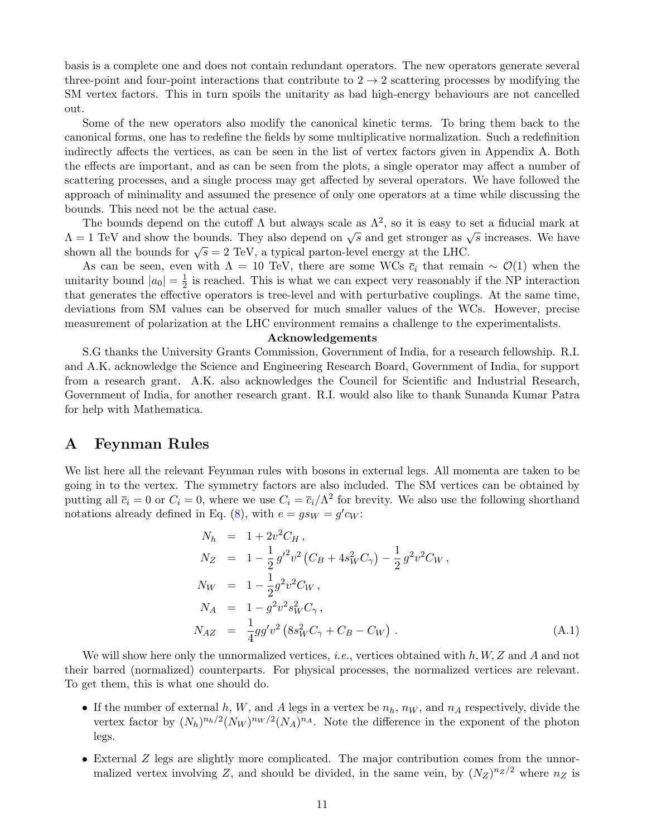basis is a complete one and does not contain redundant operators. The new operators generate several three-point and four-point interactions that contribute to  $2 \rightarrow 2$  scattering processes by modifying the SM vertex factors. This in turn spoils the unitarity as bad high-energy behaviours are not cancelled out.

Some of the new operators also modify the canonical kinetic terms. To bring them back to the canonical forms, one has to redefine the fields by some multiplicative normalization. Such a redefinition indirectly affects the vertices, as can be seen in the list of vertex factors given in Appendix A. Both the effects are important, and as can be seen from the plots, a single operator may affect a number of scattering processes, and a single process may get affected by several operators. We have followed the approach of minimality and assumed the presence of only one operators at a time while discussing the bounds. This need not be the actual case.

The bounds depend on the cutoff  $\Lambda$  but always scale as  $\Lambda^2$ , so it is easy to set a fiducial mark at  $\Lambda = 1$  TeV and show the bounds. They also depend on  $\sqrt{s}$  and get stronger as  $\sqrt{s}$  increases. We have shown all the bounds for  $\sqrt{s} = 2 \text{ TeV}$ , a typical parton-level energy at the LHC.

As can be seen, even with  $\Lambda = 10$  TeV, there are some WCs  $\bar{c}_i$  that remain ~  $\mathcal{O}(1)$  when the unitarity bound  $|a_0| = \frac{1}{2}$  $\frac{1}{2}$  is reached. This is what we can expect very reasonably if the NP interaction that generates the effective operators is tree-level and with perturbative couplings. At the same time, deviations from SM values can be observed for much smaller values of the WCs. However, precise measurement of polarization at the LHC environment remains a challenge to the experimentalists.

#### Acknowledgements

S.G thanks the University Grants Commission, Government of India, for a research fellowship. R.I. and A.K. acknowledge the Science and Engineering Research Board, Government of India, for support from a research grant. A.K. also acknowledges the Council for Scientific and Industrial Research, Government of India, for another research grant. R.I. would also like to thank Sunanda Kumar Patra for help with Mathematica.

### A Feynman Rules

We list here all the relevant Feynman rules with bosons in external legs. All momenta are taken to be going in to the vertex. The symmetry factors are also included. The SM vertices can be obtained by putting all  $\bar{c}_i = 0$  or  $C_i = 0$ , where we use  $C_i = \bar{c}_i/\Lambda^2$  for brevity. We also use the following shorthand notations already defined in Eq. [\(8\)](#page-4-0), with  $e = gs_W = g'c_W$ :

$$
N_h = 1 + 2v^2 C_H,
$$
  
\n
$$
N_Z = 1 - \frac{1}{2} g'^2 v^2 (C_B + 4s_W^2 C_\gamma) - \frac{1}{2} g^2 v^2 C_W,
$$
  
\n
$$
N_W = 1 - \frac{1}{2} g^2 v^2 C_W,
$$
  
\n
$$
N_A = 1 - g^2 v^2 s_W^2 C_\gamma,
$$
  
\n
$$
N_{AZ} = \frac{1}{4} g g' v^2 (8s_W^2 C_\gamma + C_B - C_W).
$$
\n(A.1)

We will show here only the unnormalized vertices, *i.e.*, vertices obtained with  $h, W, Z$  and  $A$  and not their barred (normalized) counterparts. For physical processes, the normalized vertices are relevant. To get them, this is what one should do.

- If the number of external h, W, and A legs in a vertex be  $n_h$ ,  $n_W$ , and  $n_A$  respectively, divide the vertex factor by  $(N_h)^{n_h/2}(N_W)^{n_W/2}(N_A)^{n_A}$ . Note the difference in the exponent of the photon legs.
- External Z legs are slightly more complicated. The major contribution comes from the unnormalized vertex involving Z, and should be divided, in the same vein, by  $(N_Z)^{n_Z/2}$  where  $n_Z$  is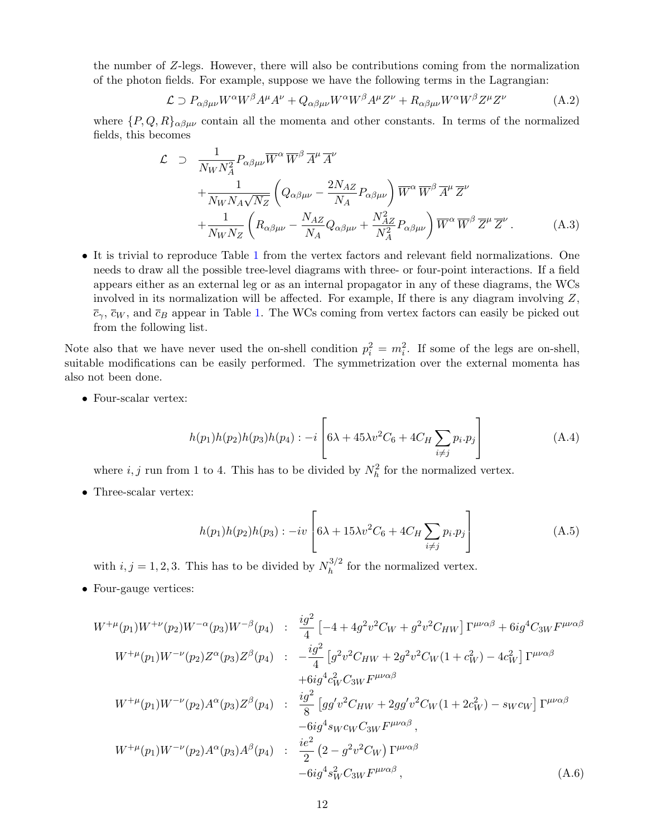the number of Z-legs. However, there will also be contributions coming from the normalization of the photon fields. For example, suppose we have the following terms in the Lagrangian:

$$
\mathcal{L} \supset P_{\alpha\beta\mu\nu} W^{\alpha} W^{\beta} A^{\mu} A^{\nu} + Q_{\alpha\beta\mu\nu} W^{\alpha} W^{\beta} A^{\mu} Z^{\nu} + R_{\alpha\beta\mu\nu} W^{\alpha} W^{\beta} Z^{\mu} Z^{\nu}
$$
(A.2)

where  $\{P,Q,R\}_{\alpha\beta\mu\nu}$  contain all the momenta and other constants. In terms of the normalized fields, this becomes

<span id="page-11-0"></span>
$$
\mathcal{L} \supset \frac{1}{N_W N_A^2} P_{\alpha\beta\mu\nu} \overline{W}^{\alpha} \overline{W}^{\beta} \overline{A}^{\mu} \overline{A}^{\nu} + \frac{1}{N_W N_A \sqrt{N_Z}} \left( Q_{\alpha\beta\mu\nu} - \frac{2N_{AZ}}{N_A} P_{\alpha\beta\mu\nu} \right) \overline{W}^{\alpha} \overline{W}^{\beta} \overline{A}^{\mu} \overline{Z}^{\nu} + \frac{1}{N_W N_Z} \left( R_{\alpha\beta\mu\nu} - \frac{N_{AZ}}{N_A} Q_{\alpha\beta\mu\nu} + \frac{N_{AZ}^2}{N_A^2} P_{\alpha\beta\mu\nu} \right) \overline{W}^{\alpha} \overline{W}^{\beta} \overline{Z}^{\mu} \overline{Z}^{\nu} . \tag{A.3}
$$

• It is trivial to reproduce Table [1](#page-6-0) from the vertex factors and relevant field normalizations. One needs to draw all the possible tree-level diagrams with three- or four-point interactions. If a field appears either as an external leg or as an internal propagator in any of these diagrams, the WCs involved in its normalization will be affected. For example, If there is any diagram involving  $Z$ ,  $\bar{c}_{\gamma}$ ,  $\bar{c}_{W}$ , and  $\bar{c}_{B}$  appear in Table [1.](#page-6-0) The WCs coming from vertex factors can easily be picked out from the following list.

Note also that we have never used the on-shell condition  $p_i^2 = m_i^2$ . If some of the legs are on-shell, suitable modifications can be easily performed. The symmetrization over the external momenta has also not been done.

• Four-scalar vertex:

$$
h(p_1)h(p_2)h(p_3)h(p_4) : -i \left[ 6\lambda + 45\lambda v^2 C_6 + 4C_H \sum_{i \neq j} p_i \cdot p_j \right]
$$
 (A.4)

where  $i, j$  run from 1 to 4. This has to be divided by  $N_h^2$  for the normalized vertex.

• Three-scalar vertex:

$$
h(p_1)h(p_2)h(p_3) : -iv \left[ 6\lambda + 15\lambda v^2 C_6 + 4C_H \sum_{i \neq j} p_i \cdot p_j \right]
$$
 (A.5)

with  $i, j = 1, 2, 3$ . This has to be divided by  $N_h^{3/2}$  $h^{3/2}$  for the normalized vertex.

• Four-gauge vertices:

$$
W^{+\mu}(p_1)W^{+\nu}(p_2)W^{-\alpha}(p_3)W^{-\beta}(p_4) : \frac{ig^2}{4} \left[ -4 + 4g^2v^2C_W + g^2v^2C_{HW} \right] \Gamma^{\mu\nu\alpha\beta} + 6ig^4C_{3W}F^{\mu\nu\alpha\beta}
$$
  
\n
$$
W^{+\mu}(p_1)W^{-\nu}(p_2)Z^{\alpha}(p_3)Z^{\beta}(p_4) : -\frac{ig^2}{4} \left[ g^2v^2C_{HW} + 2g^2v^2C_W(1 + c_W^2) - 4c_W^2 \right] \Gamma^{\mu\nu\alpha\beta}
$$
  
\n
$$
+6ig^4c_W^2C_{3W}F^{\mu\nu\alpha\beta}
$$
  
\n
$$
W^{+\mu}(p_1)W^{-\nu}(p_2)A^{\alpha}(p_3)Z^{\beta}(p_4) : \frac{ig^2}{8} \left[ gg'v^2C_{HW} + 2gg'v^2C_W(1 + 2c_W^2) - swc_W \right] \Gamma^{\mu\nu\alpha\beta}
$$
  
\n
$$
-6ig^4swc_WC_{3W}F^{\mu\nu\alpha\beta},
$$
  
\n
$$
W^{+\mu}(p_1)W^{-\nu}(p_2)A^{\alpha}(p_3)A^{\beta}(p_4) : \frac{ie^2}{2} (2 - g^2v^2C_W) \Gamma^{\mu\nu\alpha\beta}
$$
  
\n
$$
-6ig^4s_W^2C_{3W}F^{\mu\nu\alpha\beta},
$$
  
\n
$$
(A.6)
$$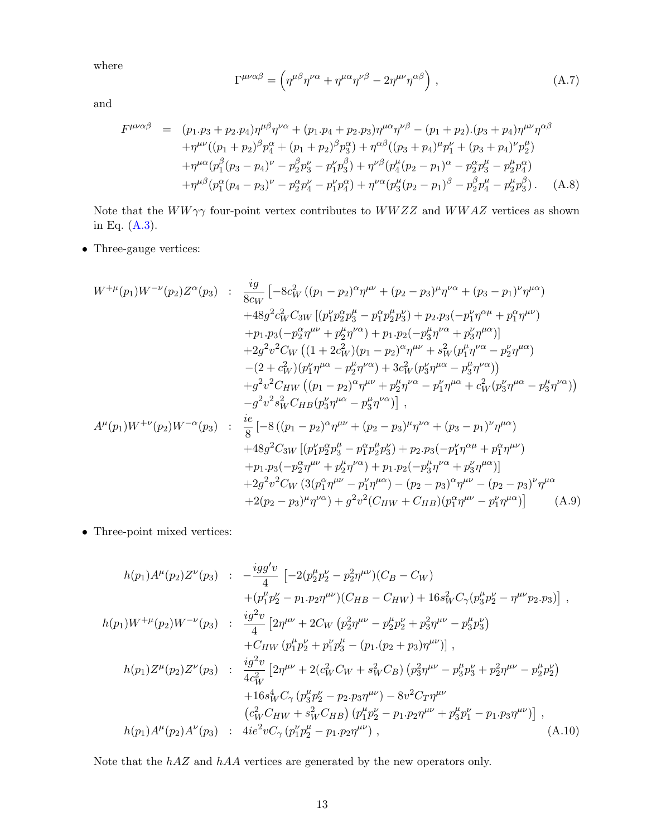where

$$
\Gamma^{\mu\nu\alpha\beta} = \left( \eta^{\mu\beta} \eta^{\nu\alpha} + \eta^{\mu\alpha} \eta^{\nu\beta} - 2 \eta^{\mu\nu} \eta^{\alpha\beta} \right) , \qquad (A.7)
$$

and

$$
F^{\mu\nu\alpha\beta} = (p_1 \cdot p_3 + p_2 \cdot p_4) \eta^{\mu\beta} \eta^{\nu\alpha} + (p_1 \cdot p_4 + p_2 \cdot p_3) \eta^{\mu\alpha} \eta^{\nu\beta} - (p_1 + p_2) \cdot (p_3 + p_4) \eta^{\mu\nu} \eta^{\alpha\beta} + \eta^{\mu\nu} ((p_1 + p_2)^\beta p_4^\alpha + (p_1 + p_2)^\beta p_3^\alpha) + \eta^{\alpha\beta} ((p_3 + p_4)^\mu p_1^\nu + (p_3 + p_4)^\nu p_2^\mu) + \eta^{\mu\alpha} (p_1^\beta (p_3 - p_4)^\nu - p_2^\beta p_3^\nu - p_1^\nu p_3^\beta) + \eta^{\nu\beta} (p_4^\mu (p_2 - p_1)^\alpha - p_2^\alpha p_3^\mu - p_2^\mu p_4^\alpha) + \eta^{\mu\beta} (p_1^\alpha (p_4 - p_3)^\nu - p_2^\alpha p_4^\nu - p_1^\nu p_4^\alpha) + \eta^{\nu\alpha} (p_3^\mu (p_2 - p_1)^\beta - p_2^\beta p_4^\mu - p_2^\mu p_3^\beta). \quad (A.8)
$$

Note that the  $WW\gamma\gamma$  four-point vertex contributes to  $WWZZ$  and  $WWAZ$  vertices as shown in Eq. [\(A.3\)](#page-11-0).

• Three-gauge vertices:

$$
W^{+\mu}(p_1)W^{-\nu}(p_2)Z^{\alpha}(p_3) : \frac{ig}{8c_W} \left[ -8c_W^2 \left( (p_1 - p_2)^{\alpha} \eta^{\mu\nu} + (p_2 - p_3)^{\mu} \eta^{\nu\alpha} + (p_3 - p_1)^{\nu} \eta^{\mu\alpha} \right) \right. \\ \left. +48g^2c_W^2 C_{3W} \left[ (p_1^{\nu} p_2^{\alpha} p_3^{\mu} - p_1^{\alpha} p_2^{\mu} p_3^{\nu}) + p_2 \cdot p_3 (-p_1^{\nu} \eta^{\alpha \mu} + p_1^{\alpha} \eta^{\mu \nu}) \right. \\ \left. +2g^2 v^2 C_W \left( (1 + 2c_W^2)(p_1 - p_2)^{\alpha} \eta^{\mu \nu} + s_W^2 (p_1^{\mu} \eta^{\nu \alpha} - p_2^{\nu} \eta^{\mu \alpha}) \right) \right. \\ \left. +2g^2 v^2 C_W \left( (1 + 2c_W^2)(p_1 - p_2)^{\alpha} \eta^{\mu \nu} + s_W^2 (p_1^{\mu} \eta^{\nu \alpha} - p_2^{\nu} \eta^{\mu \alpha}) \right. \\ \left. - (2 + c_W^2)(p_1^{\nu} \eta^{\mu \alpha} - p_2^{\mu} \eta^{\nu \alpha}) + 3c_W^2 (p_3^{\nu} \eta^{\mu \alpha} - p_3^{\mu} \eta^{\nu \alpha}) \right) \right. \\ \left. + g^2 v^2 C_{HW} \left( (p_1 - p_2)^{\alpha} \eta^{\mu \nu} + p_2^{\mu} \eta^{\nu \alpha} - p_1^{\nu} \eta^{\mu \alpha} + c_W^2 (p_3^{\nu} \eta^{\mu \alpha} - p_3^{\mu} \eta^{\nu \alpha}) \right) \right. \\ \left. - g^2 v^2 s_W^2 C_{HB} (p_3^{\nu} \eta^{\mu \alpha} - p_3^{\mu} \eta^{\nu \alpha}) \right], \\ A^{\mu}(p_1)W^{+\nu}(p_2)W^{-\alpha}(p_3) : \frac{ie}{8} \left[ -8 ((p_1 - p_2)^{\alpha} \eta^{\mu \nu} + (p_2 - p_3)^{\mu} \eta^{\nu \alpha} + (p_3 - p_1)^{\nu} \eta^{\mu \
$$

 $\bullet\,$  Three-point mixed vertices:

$$
h(p_1)A^{\mu}(p_2)Z^{\nu}(p_3) : -\frac{igg'v}{4} \left[ -2(p_2^{\mu}p_2^{\nu} - p_2^2\eta^{\mu\nu})(C_B - C_W) \right. \n+ (p_1^{\mu}p_2^{\nu} - p_1 \cdot p_2\eta^{\mu\nu})(C_{HB} - C_{HW}) + 16s_W^2 C_{\gamma}(p_3^{\mu}p_2^{\nu} - \eta^{\mu\nu}p_2 \cdot p_3) \right], \nh(p_1)W^{+\mu}(p_2)W^{-\nu}(p_3) : \frac{ig^2v}{4} \left[ 2\eta^{\mu\nu} + 2C_W (p_2^2\eta^{\mu\nu} - p_2^{\mu}p_2^{\nu} + p_3^2\eta^{\mu\nu} - p_3^{\mu}p_3^{\nu} \right. \n+ C_{HW} (p_1^{\mu}p_2^{\nu} + p_1^{\nu}p_3^{\mu} - (p_1.(p_2 + p_3)\eta^{\mu\nu}) \right], \nh(p_1)Z^{\mu}(p_2)Z^{\nu}(p_3) : \frac{ig^2v}{4c_W^2} \left[ 2\eta^{\mu\nu} + 2(c_W^2C_W + s_W^2C_B) (p_3^2\eta^{\mu\nu} - p_3^{\mu}p_3^{\nu} + p_2^2\eta^{\mu\nu} - p_2^{\mu}p_2^{\nu}) \right. \n+ 16s_W^4 C_{\gamma} (p_3^{\mu}p_2^{\nu} - p_2 \cdot p_3\eta^{\mu\nu}) - 8v^2 C_T\eta^{\mu\nu} \n- (c_W^2C_{HW} + s_W^2C_{HB}) (p_1^{\mu}p_2^{\nu} - p_1 \cdot p_2\eta^{\mu\nu} + p_3^{\mu}p_1^{\nu} - p_1 \cdot p_3\eta^{\mu\nu}) \right], \nh(p_1)A^{\mu}(p_2)A^{\nu}(p_3) : 4ie^2vC_{\gamma} (p_1^{\nu}p_2^{\mu} - p_1 \cdot p_2\eta^{\mu\nu}) , \tag{A.10}
$$

Note that the hAZ and hAA vertices are generated by the new operators only.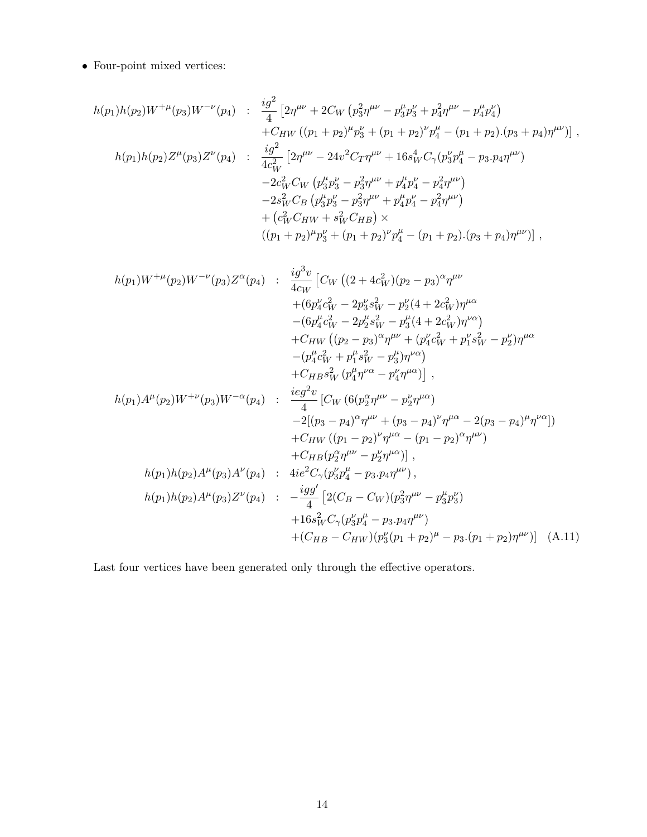$\bullet\,$  Four-point mixed vertices:

$$
h(p_1)h(p_2)W^{+\mu}(p_3)W^{-\nu}(p_4) : \frac{ig^2}{4} [2\eta^{\mu\nu} + 2C_W (p_3^2\eta^{\mu\nu} - p_3^{\mu}p_3^{\nu} + p_4^2\eta^{\mu\nu} - p_4^{\mu}p_4^{\nu})
$$
  
+ $C_{HW} ((p_1 + p_2)^{\mu}p_3^{\nu} + (p_1 + p_2)^{\nu}p_4^{\mu} - (p_1 + p_2). (p_3 + p_4)\eta^{\mu\nu})],$   

$$
h(p_1)h(p_2)Z^{\mu}(p_3)Z^{\nu}(p_4) : \frac{ig^2}{4c_W^2} [2\eta^{\mu\nu} - 24v^2C_T\eta^{\mu\nu} + 16s_W^4C_\gamma(p_3^{\nu}p_4^{\mu} - p_3.p_4\eta^{\mu\nu})
$$
  
- $2c_W^2C_W (p_3^{\mu}p_3^{\nu} - p_3^2\eta^{\mu\nu} + p_4^{\mu}p_4^{\nu} - p_4^2\eta^{\mu\nu})$   
- $2s_W^2C_B (p_3^{\mu}p_3^{\nu} - p_3^2\eta^{\mu\nu} + p_4^{\mu}p_4^{\nu} - p_4^2\eta^{\mu\nu})$   
+ $(c_W^2C_{HW} + s_W^2C_{HB}) \times$   
 $((p_1 + p_2)^{\mu}p_3^{\nu} + (p_1 + p_2)^{\nu}p_4^{\mu} - (p_1 + p_2). (p_3 + p_4)\eta^{\mu\nu})],$ 

$$
h(p_1)W^{+\mu}(p_2)W^{-\nu}(p_3)Z^{\alpha}(p_4) : \frac{ig^3v}{4c_W} \left[ C_W ((2 + 4c_W^2)(p_2 - p_3)^{\alpha} \eta^{\mu\nu} \right.\n+ (6p_4^{\nu}c_W^2 - 2p_3^{\nu}s_W^2 - p_2^{\nu}(4 + 2c_W^2)\eta^{\mu\alpha} \right.\n- (6p_4^{\mu}c_W^2 - 2p_2^{\mu}s_W^2 - p_3^{\mu}(4 + 2c_W^2)\eta^{\nu\alpha}) \right.\n+ C_{HW} ((p_2 - p_3)^{\alpha} \eta^{\mu\nu} + (p_4^{\nu}c_W^2 + p_1^{\nu}s_W^2 - p_2^{\nu})\eta^{\mu\alpha} \right.\n+ C_{HB}s_W^2 (p_4^{\mu}\eta^{\nu\alpha} - p_4^{\nu}\eta^{\mu\alpha}) \Big],\nh(p_1)A^{\mu}(p_2)W^{+\nu}(p_3)W^{-\alpha}(p_4) : \frac{ieg^2v}{4} \left[ C_W (6(p_2^{\alpha}\eta^{\mu\nu} - p_2^{\nu}\eta^{\mu\alpha}) \right.\n+ C_{HW} ((p_1 - p_2)^{\nu}\eta^{\mu\alpha} - (p_1 - p_2)^{\alpha}\eta^{\mu\nu}) \right.\n+ C_{HW} ((p_1 - p_2)^{\nu}\eta^{\mu\alpha} - (p_1 - p_2)^{\alpha}\eta^{\mu\nu}) \right.\nh(p_1)h(p_2)A^{\mu}(p_3)A^{\nu}(p_4) : 4ie^2C_{\gamma}(p_3^{\nu}p_4^{\mu} - p_3, p_4\eta^{\mu\nu}),\nh(p_1)h(p_2)A^{\mu}(p_3)Z^{\nu}(p_4) : -\frac{igg'}{4} \left[ 2(C_B - C_W)(p_3^2\eta^{\mu\nu} - p_3^{\mu}p_3^{\nu}) \right.\n+ 16s_W^2C_{\gamma}(p_3^{\nu}p_4^{\mu} - p_3, p_4\eta^{\mu\nu}) \right.\n+ (C_{HB} - C_{HW})(p_3^{\nu}(p_1 + p_2)^{\mu} - p_3.(p_1 + p_2)\eta^{\mu\nu}) \Big] (A.
$$

Last four vertices have been generated only through the effective operators.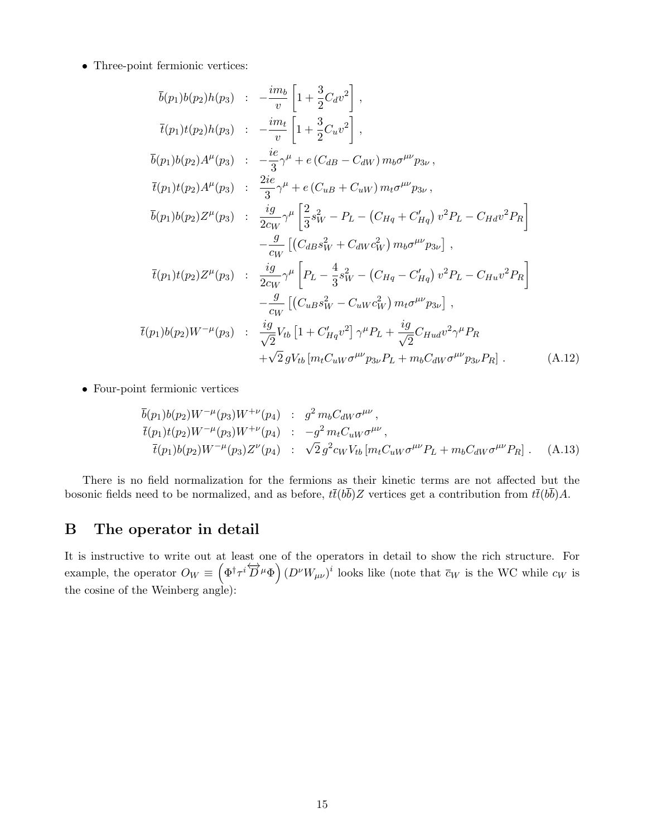• Three-point fermionic vertices:

$$
\bar{b}(p_1)b(p_2)h(p_3) : -\frac{im_b}{v} \left[ 1 + \frac{3}{2}C_d v^2 \right],
$$
\n
$$
\bar{t}(p_1)t(p_2)h(p_3) : -\frac{im_t}{v} \left[ 1 + \frac{3}{2}C_u v^2 \right],
$$
\n
$$
\bar{b}(p_1)b(p_2)A^{\mu}(p_3) : -\frac{ie}{3}\gamma^{\mu} + e(C_{dB} - C_{dW}) m_b \sigma^{\mu\nu} p_{3\nu},
$$
\n
$$
\bar{t}(p_1)t(p_2)A^{\mu}(p_3) : \frac{2ie}{3}\gamma^{\mu} + e(C_{uB} + C_{uW}) m_t \sigma^{\mu\nu} p_{3\nu},
$$
\n
$$
\bar{b}(p_1)b(p_2)Z^{\mu}(p_3) : \frac{ig}{2c_W}\gamma^{\mu} \left[ \frac{2}{3}s_W^2 - P_L - (C_{Hq} + C'_{Hq}) v^2 P_L - C_{Hd} v^2 P_R \right] -\frac{g}{c_W} \left[ (C_{dB}s_W^2 + C_{dW} c_W^2) m_b \sigma^{\mu\nu} p_{3\nu} \right],
$$
\n
$$
\bar{t}(p_1)t(p_2)Z^{\mu}(p_3) : \frac{ig}{2c_W}\gamma^{\mu} \left[ P_L - \frac{4}{3}s_W^2 - (C_{Hq} - C'_{Hq}) v^2 P_L - C_{Hu} v^2 P_R \right] -\frac{g}{c_W} \left[ (C_{uB}s_W^2 - C_{uW} c_W^2) m_t \sigma^{\mu\nu} p_{3\nu} \right],
$$
\n
$$
\bar{t}(p_1)b(p_2)W^{-\mu}(p_3) : \frac{ig}{\sqrt{2}}V_{tb} \left[ 1 + C'_{Hq} v^2 \right] \gamma^{\mu} P_L + \frac{ig}{\sqrt{2}} C_{Hud} v^2 \gamma^{\mu} P_R + \gamma Q_g V_{tb} \left[ m_t C_{uW} \sigma^{\mu\nu} p_{3\nu} P_L + m_b C_{dW} \sigma^{\mu\nu} p_{3\nu} P_R \right].
$$
\n(A.12)

• Four-point fermionic vertices

$$
\overline{b}(p_1)b(p_2)W^{-\mu}(p_3)W^{+\nu}(p_4) : g^2 m_b C_{dW} \sigma^{\mu\nu}, \n\overline{t}(p_1)t(p_2)W^{-\mu}(p_3)W^{+\nu}(p_4) : -g^2 m_t C_{uW} \sigma^{\mu\nu}, \n\overline{t}(p_1)b(p_2)W^{-\mu}(p_3)Z^{\nu}(p_4) : \sqrt{2} g^2 c_W V_{tb} [m_t C_{uW} \sigma^{\mu\nu} P_L + m_b C_{dW} \sigma^{\mu\nu} P_R].
$$
\n(A.13)

There is no field normalization for the fermions as their kinetic terms are not affected but the bosonic fields need to be normalized, and as before,  $t\bar{t}(b\bar{b})Z$  vertices get a contribution from  $t\bar{t}(b\bar{b})A$ .

## B The operator in detail

It is instructive to write out at least one of the operators in detail to show the rich structure. For example, the operator  $O_W \equiv \left(\Phi^{\dagger} \tau^i \overleftrightarrow{D}^{\mu} \Phi\right) (D^{\nu} W_{\mu\nu})^i$  looks like (note that  $\overline{c}_W$  is the WC while  $c_W$  is the cosine of the Weinberg angle):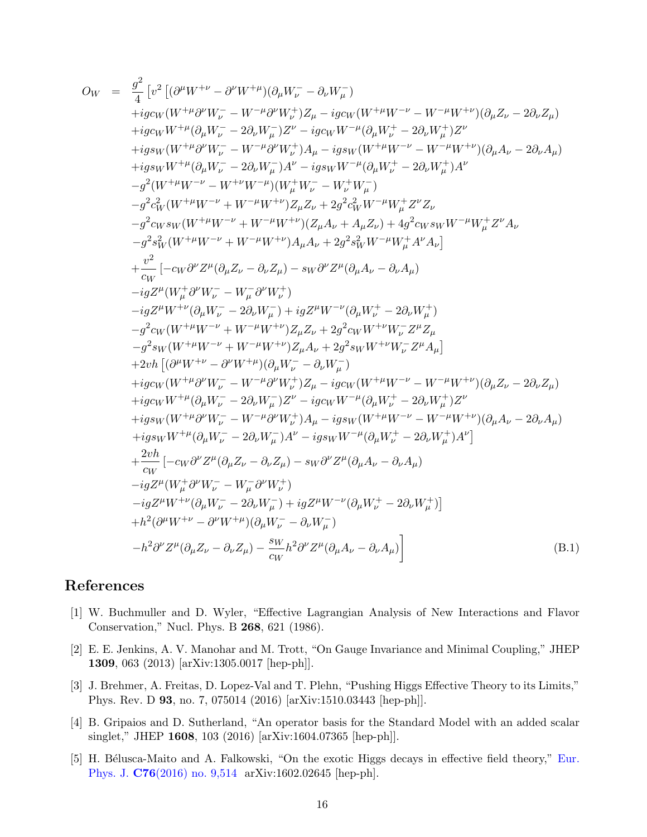<span id="page-15-5"></span>
$$
O_{W} = \frac{g^{2}}{4} \left[ v^{2} \left[ (\partial^{\mu} W^{+ \nu} - \partial^{\nu} W^{+ \mu}_{}) (\partial_{\mu} W^{-}_{\nu} - \partial_{\nu} W^{-}_{\mu}) \right. \\ + ig_{CW} (W^{+ \mu} \partial^{\nu} W^{-}_{\nu} - W^{- \mu} \partial^{\nu} W^{+}_{\nu}) Z_{\mu} - ig_{CW} (W^{+ \mu} W^{- \nu} - W^{- \mu} W^{+ \nu}) (\partial_{\mu} Z_{\nu} - 2 \partial_{\nu} Z_{\mu}) \\ + ig_{EW} (W^{+ \mu} \partial^{\nu} W^{-}_{\nu} - 2 \partial_{\nu} W^{-}_{\mu}) A^{\nu} - ig_{GW} W^{- \mu} (\partial_{\mu} W^{+}_{\nu} - 2 \partial_{\nu} W^{+}_{\mu}) Z^{\nu} \right. \\ + ig_{SW} W^{+ \mu} (\partial_{\mu} W^{-}_{\nu} - W^{- \mu} \partial^{\nu} W^{+}_{\nu}) A_{\mu} - ig_{SW} (W^{+ \mu} W^{- \nu} - W^{- \mu} W^{+ \nu}) (\partial_{\mu} A_{\nu} - 2 \partial_{\nu} A_{\mu}) \\ - g^{2} (W^{+ \mu} W^{-} - W^{+ \nu} W^{- \mu}) (W^{+}_{\mu} W^{-}_{\nu} - W^{+}_{\nu} W^{-}_{\mu}) \\ - g^{2} (W^{+ \mu} W^{- \nu} + W^{- \mu} W^{+ \nu}) Z_{\mu} Z_{\nu} + 2 g^{2} c_{W}^2 W^{- \mu} W^{+}_{\mu} Z^{\nu} Z_{\nu} \\ - g^{2} c_{W} s_{W} (W^{+ \mu} W^{- \nu} + W^{- \mu} W^{+ \nu}) Z_{\mu} Z_{\nu} + 2 g^{2} c_{W}^2 W^{- \mu} W^{+}_{\mu} Z^{\nu} Z_{\nu} \\ - g^{2} c_{W} W^{+ \mu} W^{- \nu} + W^{- \mu} W^{+ \nu}) A_{\mu} A_{\nu} + 2 g^{2} c_{W} W^{- \mu} W^{+}_{\mu} Z^{\nu} A_{\nu} \\ + \frac{v^{2}}{c_{W}} \left[ - c_{W} \partial^{\nu} Z^{\mu} (\partial_{\mu} Z_{\nu} - \partial_{\nu} Z_{\mu}) - s_{W} \partial^{\nu} Z^{\mu} (\partial_{\mu} A_{\nu} - \partial_{\nu} A_{\
$$

# References

- <span id="page-15-0"></span>[1] W. Buchmuller and D. Wyler, "Effective Lagrangian Analysis of New Interactions and Flavor Conservation," Nucl. Phys. B 268, 621 (1986).
- <span id="page-15-1"></span>[2] E. E. Jenkins, A. V. Manohar and M. Trott, "On Gauge Invariance and Minimal Coupling," JHEP 1309, 063 (2013) [arXiv:1305.0017 [hep-ph]].
- <span id="page-15-2"></span>[3] J. Brehmer, A. Freitas, D. Lopez-Val and T. Plehn, "Pushing Higgs Effective Theory to its Limits," Phys. Rev. D 93, no. 7, 075014 (2016) [arXiv:1510.03443 [hep-ph]].
- <span id="page-15-3"></span>[4] B. Gripaios and D. Sutherland, "An operator basis for the Standard Model with an added scalar singlet," JHEP 1608, 103 (2016) [arXiv:1604.07365 [hep-ph]].
- <span id="page-15-4"></span>[5] H. Bélusca-Maito and A. Falkowski, "On the exotic Higgs decays in effective field theory," Eur. Phys. J. C76(2016) no. 9,514 arXiv:1602.02645 [hep-ph].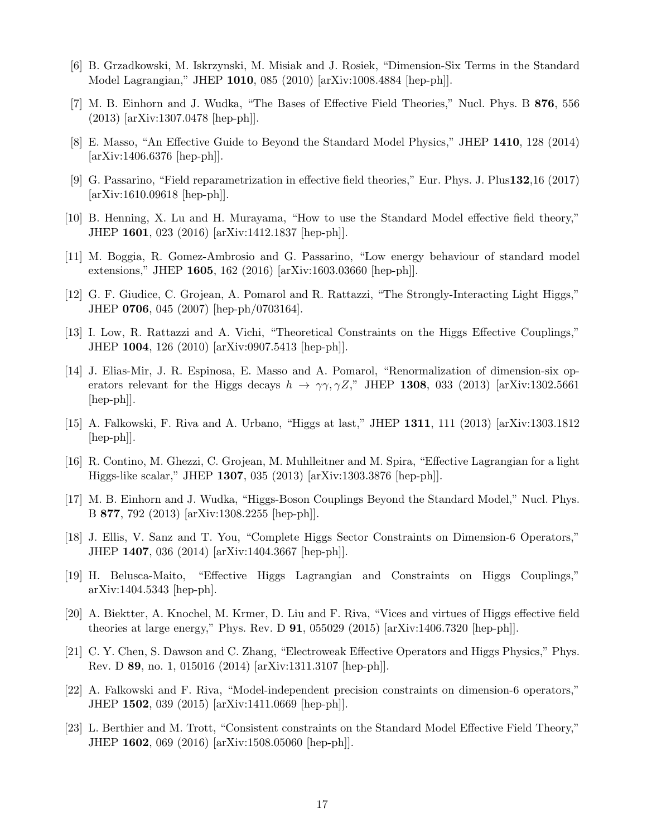- <span id="page-16-0"></span>[6] B. Grzadkowski, M. Iskrzynski, M. Misiak and J. Rosiek, "Dimension-Six Terms in the Standard Model Lagrangian," JHEP 1010, 085 (2010) [arXiv:1008.4884 [hep-ph]].
- <span id="page-16-1"></span>[7] M. B. Einhorn and J. Wudka, "The Bases of Effective Field Theories," Nucl. Phys. B 876, 556 (2013) [arXiv:1307.0478 [hep-ph]].
- <span id="page-16-2"></span>[8] E. Masso, "An Effective Guide to Beyond the Standard Model Physics," JHEP 1410, 128 (2014) [arXiv:1406.6376 [hep-ph]].
- <span id="page-16-3"></span>[9] G. Passarino, "Field reparametrization in effective field theories," Eur. Phys. J. Plus132,16 (2017)  $\arXiv:1610.09618$  [hep-ph].
- <span id="page-16-4"></span>[10] B. Henning, X. Lu and H. Murayama, "How to use the Standard Model effective field theory," JHEP 1601, 023 (2016) [arXiv:1412.1837 [hep-ph]].
- <span id="page-16-5"></span>[11] M. Boggia, R. Gomez-Ambrosio and G. Passarino, "Low energy behaviour of standard model extensions," JHEP 1605, 162 (2016) [arXiv:1603.03660 [hep-ph]].
- <span id="page-16-6"></span>[12] G. F. Giudice, C. Grojean, A. Pomarol and R. Rattazzi, "The Strongly-Interacting Light Higgs," JHEP 0706, 045 (2007) [hep-ph/0703164].
- <span id="page-16-7"></span>[13] I. Low, R. Rattazzi and A. Vichi, "Theoretical Constraints on the Higgs Effective Couplings," JHEP 1004, 126 (2010) [arXiv:0907.5413 [hep-ph]].
- <span id="page-16-8"></span>[14] J. Elias-Mir, J. R. Espinosa, E. Masso and A. Pomarol, "Renormalization of dimension-six operators relevant for the Higgs decays  $h \to \gamma\gamma, \gamma Z$ ," JHEP 1308, 033 (2013) [arXiv:1302.5661 [hep-ph]].
- <span id="page-16-9"></span>[15] A. Falkowski, F. Riva and A. Urbano, "Higgs at last," JHEP 1311, 111 (2013) [arXiv:1303.1812  $\vert \text{hep-ph} \vert$ .
- <span id="page-16-10"></span>[16] R. Contino, M. Ghezzi, C. Grojean, M. Muhlleitner and M. Spira, "Effective Lagrangian for a light Higgs-like scalar," JHEP 1307, 035 (2013) [arXiv:1303.3876 [hep-ph]].
- <span id="page-16-11"></span>[17] M. B. Einhorn and J. Wudka, "Higgs-Boson Couplings Beyond the Standard Model," Nucl. Phys. B 877, 792 (2013) [arXiv:1308.2255 [hep-ph]].
- <span id="page-16-12"></span>[18] J. Ellis, V. Sanz and T. You, "Complete Higgs Sector Constraints on Dimension-6 Operators," JHEP 1407, 036 (2014) [arXiv:1404.3667 [hep-ph]].
- <span id="page-16-13"></span>[19] H. Belusca-Maito, "Effective Higgs Lagrangian and Constraints on Higgs Couplings," arXiv:1404.5343 [hep-ph].
- <span id="page-16-14"></span>[20] A. Biektter, A. Knochel, M. Krmer, D. Liu and F. Riva, "Vices and virtues of Higgs effective field theories at large energy," Phys. Rev. D  $91$ , 055029 (2015) [arXiv:1406.7320 [hep-ph].
- <span id="page-16-15"></span>[21] C. Y. Chen, S. Dawson and C. Zhang, "Electroweak Effective Operators and Higgs Physics," Phys. Rev. D 89, no. 1, 015016 (2014) [arXiv:1311.3107 [hep-ph]].
- <span id="page-16-16"></span>[22] A. Falkowski and F. Riva, "Model-independent precision constraints on dimension-6 operators," JHEP 1502, 039 (2015) [arXiv:1411.0669 [hep-ph]].
- <span id="page-16-17"></span>[23] L. Berthier and M. Trott, "Consistent constraints on the Standard Model Effective Field Theory," JHEP 1602, 069 (2016) [arXiv:1508.05060 [hep-ph]].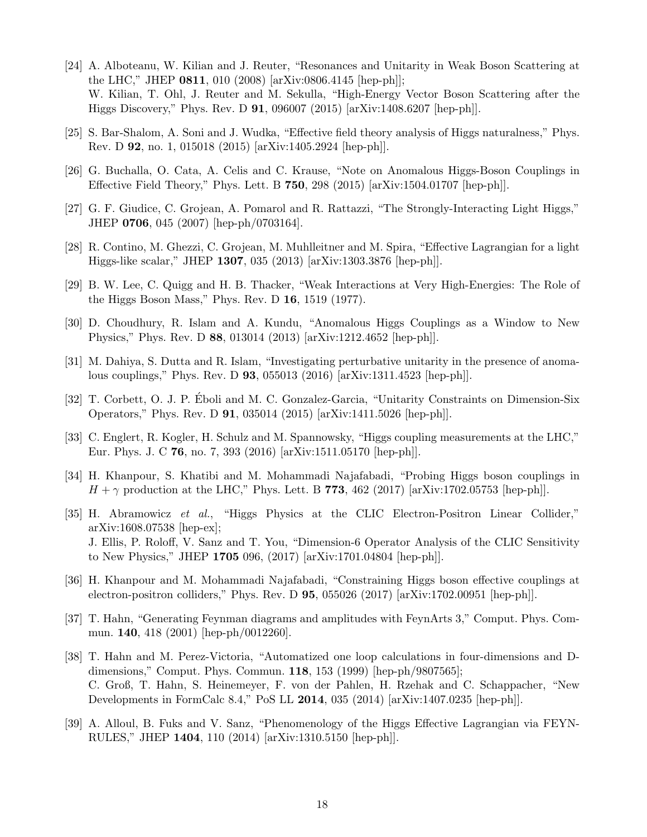- <span id="page-17-0"></span>[24] A. Alboteanu, W. Kilian and J. Reuter, "Resonances and Unitarity in Weak Boson Scattering at the LHC," JHEP 0811, 010 (2008) [arXiv:0806.4145 [hep-ph]]; W. Kilian, T. Ohl, J. Reuter and M. Sekulla, "High-Energy Vector Boson Scattering after the Higgs Discovery," Phys. Rev. D 91, 096007 (2015) [arXiv:1408.6207 [hep-ph]].
- <span id="page-17-1"></span>[25] S. Bar-Shalom, A. Soni and J. Wudka, "Effective field theory analysis of Higgs naturalness," Phys. Rev. D 92, no. 1, 015018 (2015) [arXiv:1405.2924 [hep-ph]].
- <span id="page-17-2"></span>[26] G. Buchalla, O. Cata, A. Celis and C. Krause, "Note on Anomalous Higgs-Boson Couplings in Effective Field Theory," Phys. Lett. B 750, 298 (2015) [arXiv:1504.01707 [hep-ph]].
- <span id="page-17-3"></span>[27] G. F. Giudice, C. Grojean, A. Pomarol and R. Rattazzi, "The Strongly-Interacting Light Higgs," JHEP 0706, 045 (2007) [hep-ph/0703164].
- <span id="page-17-4"></span>[28] R. Contino, M. Ghezzi, C. Grojean, M. Muhlleitner and M. Spira, "Effective Lagrangian for a light Higgs-like scalar," JHEP 1307, 035 (2013) [arXiv:1303.3876 [hep-ph]].
- <span id="page-17-5"></span>[29] B. W. Lee, C. Quigg and H. B. Thacker, "Weak Interactions at Very High-Energies: The Role of the Higgs Boson Mass," Phys. Rev. D 16, 1519 (1977).
- <span id="page-17-6"></span>[30] D. Choudhury, R. Islam and A. Kundu, "Anomalous Higgs Couplings as a Window to New Physics," Phys. Rev. D 88, 013014 (2013) [arXiv:1212.4652 [hep-ph]].
- <span id="page-17-7"></span>[31] M. Dahiya, S. Dutta and R. Islam, "Investigating perturbative unitarity in the presence of anomalous couplings," Phys. Rev. D 93, 055013 (2016) [arXiv:1311.4523 [hep-ph]].
- <span id="page-17-8"></span>[32] T. Corbett, O. J. P. Eboli and M. C. Gonzalez-Garcia, "Unitarity Constraints on Dimension-Six ´ Operators," Phys. Rev. D 91, 035014 (2015) [arXiv:1411.5026 [hep-ph]].
- <span id="page-17-9"></span>[33] C. Englert, R. Kogler, H. Schulz and M. Spannowsky, "Higgs coupling measurements at the LHC," Eur. Phys. J. C 76, no. 7, 393 (2016) [arXiv:1511.05170 [hep-ph]].
- <span id="page-17-10"></span>[34] H. Khanpour, S. Khatibi and M. Mohammadi Najafabadi, "Probing Higgs boson couplings in  $H + \gamma$  production at the LHC," Phys. Lett. B 773, 462 (2017) [arXiv:1702.05753 [hep-ph]].
- <span id="page-17-11"></span>[35] H. Abramowicz et al., "Higgs Physics at the CLIC Electron-Positron Linear Collider," arXiv:1608.07538 [hep-ex]; J. Ellis, P. Roloff, V. Sanz and T. You, "Dimension-6 Operator Analysis of the CLIC Sensitivity to New Physics," JHEP 1705 096, (2017) [arXiv:1701.04804 [hep-ph]].
- <span id="page-17-12"></span>[36] H. Khanpour and M. Mohammadi Najafabadi, "Constraining Higgs boson effective couplings at electron-positron colliders," Phys. Rev. D 95, 055026 (2017) [arXiv:1702.00951 [hep-ph]].
- <span id="page-17-13"></span>[37] T. Hahn, "Generating Feynman diagrams and amplitudes with FeynArts 3," Comput. Phys. Commun. 140, 418 (2001) [hep-ph/0012260].
- <span id="page-17-14"></span>[38] T. Hahn and M. Perez-Victoria, "Automatized one loop calculations in four-dimensions and Ddimensions," Comput. Phys. Commun. 118, 153 (1999) [hep-ph/9807565]; C. Groß, T. Hahn, S. Heinemeyer, F. von der Pahlen, H. Rzehak and C. Schappacher, "New Developments in FormCalc 8.4," PoS LL 2014, 035 (2014) [arXiv:1407.0235 [hep-ph]].
- <span id="page-17-15"></span>[39] A. Alloul, B. Fuks and V. Sanz, "Phenomenology of the Higgs Effective Lagrangian via FEYN-RULES," JHEP 1404, 110 (2014) [arXiv:1310.5150 [hep-ph]].